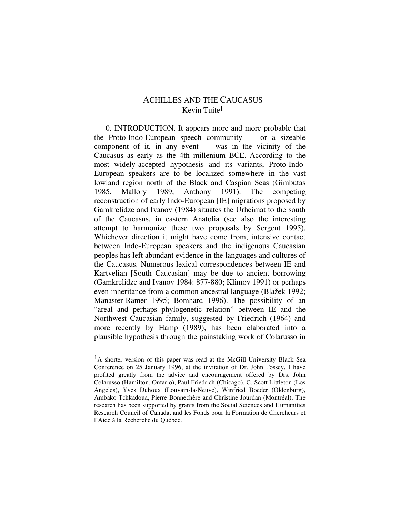# ACHILLES AND THE CAUCASUS Kevin Tuite1

0. INTRODUCTION. It appears more and more probable that the Proto-Indo-European speech community — or a sizeable component of it, in any event  $-$  was in the vicinity of the Caucasus as early as the 4th millenium BCE. According to the most widely-accepted hypothesis and its variants, Proto-Indo-European speakers are to be localized somewhere in the vast lowland region north of the Black and Caspian Seas (Gimbutas 1985, Mallory 1989, Anthony 1991). The competing reconstruction of early Indo-European [IE] migrations proposed by Gamkrelidze and Ivanov (1984) situates the Urheimat to the south of the Caucasus, in eastern Anatolia (see also the interesting attempt to harmonize these two proposals by Sergent 1995). Whichever direction it might have come from, intensive contact between Indo-European speakers and the indigenous Caucasian peoples has left abundant evidence in the languages and cultures of the Caucasus. Numerous lexical correspondences between IE and Kartvelian [South Caucasian] may be due to ancient borrowing (Gamkrelidze and Ivanov 1984: 877-880; Klimov 1991) or perhaps even inheritance from a common ancestral language (Blažek 1992; Manaster-Ramer 1995; Bomhard 1996). The possibility of an "areal and perhaps phylogenetic relation" between IE and the Northwest Caucasian family, suggested by Friedrich (1964) and more recently by Hamp (1989), has been elaborated into a plausible hypothesis through the painstaking work of Colarusso in

<sup>&</sup>lt;sup>1</sup>A shorter version of this paper was read at the McGill University Black Sea Conference on 25 January 1996, at the invitation of Dr. John Fossey. I have profited greatly from the advice and encouragement offered by Drs. John Colarusso (Hamilton, Ontario), Paul Friedrich (Chicago), C. Scott Littleton (Los Angeles), Yves Duhoux (Louvain-la-Neuve), Winfried Boeder (Oldenburg), Ambako Tchkadoua, Pierre Bonnechère and Christine Jourdan (Montréal). The research has been supported by grants from the Social Sciences and Humanities Research Council of Canada, and les Fonds pour la Formation de Chercheurs et l'Aide à la Recherche du Québec.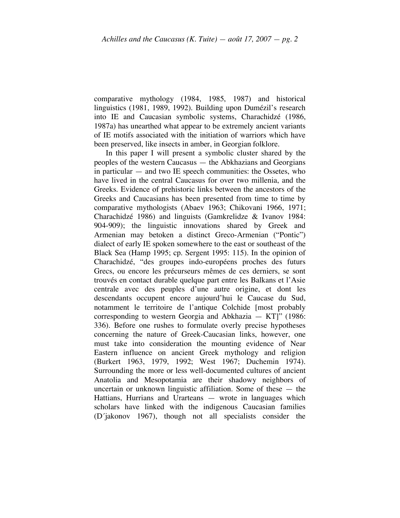comparative mythology (1984, 1985, 1987) and historical linguistics (1981, 1989, 1992). Building upon Dumézil's research into IE and Caucasian symbolic systems, Charachidzé (1986, 1987a) has unearthed what appear to be extremely ancient variants of IE motifs associated with the initiation of warriors which have been preserved, like insects in amber, in Georgian folklore.

In this paper I will present a symbolic cluster shared by the peoples of the western Caucasus — the Abkhazians and Georgians in particular — and two IE speech communities: the Ossetes, who have lived in the central Caucasus for over two millenia, and the Greeks. Evidence of prehistoric links between the ancestors of the Greeks and Caucasians has been presented from time to time by comparative mythologists (Abaev 1963; Chikovani 1966, 1971; Charachidzé 1986) and linguists (Gamkrelidze & Ivanov 1984: 904-909); the linguistic innovations shared by Greek and Armenian may betoken a distinct Greco-Armenian ("Pontic") dialect of early IE spoken somewhere to the east or southeast of the Black Sea (Hamp 1995; cp. Sergent 1995: 115). In the opinion of Charachidzé, "des groupes indo-européens proches des futurs Grecs, ou encore les précurseurs mêmes de ces derniers, se sont trouvés en contact durable quelque part entre les Balkans et l'Asie centrale avec des peuples d'une autre origine, et dont les descendants occupent encore aujourd'hui le Caucase du Sud, notamment le territoire de l'antique Colchide [most probably corresponding to western Georgia and Abkhazia — KT]" (1986: 336). Before one rushes to formulate overly precise hypotheses concerning the nature of Greek-Caucasian links, however, one must take into consideration the mounting evidence of Near Eastern influence on ancient Greek mythology and religion (Burkert 1963, 1979, 1992; West 1967; Duchemin 1974). Surrounding the more or less well-documented cultures of ancient Anatolia and Mesopotamia are their shadowy neighbors of uncertain or unknown linguistic affiliation. Some of these — the Hattians, Hurrians and Urarteans — wrote in languages which scholars have linked with the indigenous Caucasian families (D´jakonov 1967), though not all specialists consider the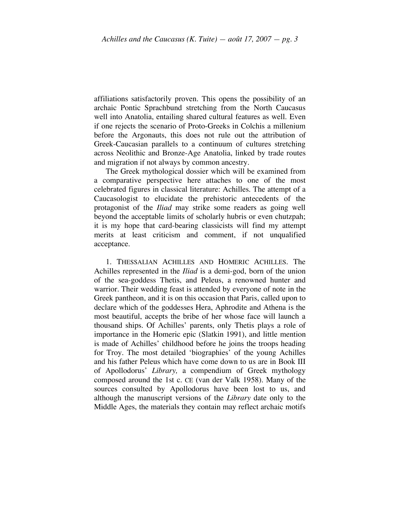affiliations satisfactorily proven. This opens the possibility of an archaic Pontic Sprachbund stretching from the North Caucasus well into Anatolia, entailing shared cultural features as well. Even if one rejects the scenario of Proto-Greeks in Colchis a millenium before the Argonauts, this does not rule out the attribution of Greek-Caucasian parallels to a continuum of cultures stretching across Neolithic and Bronze-Age Anatolia, linked by trade routes and migration if not always by common ancestry.

The Greek mythological dossier which will be examined from a comparative perspective here attaches to one of the most celebrated figures in classical literature: Achilles. The attempt of a Caucasologist to elucidate the prehistoric antecedents of the protagonist of the *Iliad* may strike some readers as going well beyond the acceptable limits of scholarly hubris or even chutzpah; it is my hope that card-bearing classicists will find my attempt merits at least criticism and comment, if not unqualified acceptance.

1. THESSALIAN ACHILLES AND HOMERIC ACHILLES. The Achilles represented in the *Iliad* is a demi-god, born of the union of the sea-goddess Thetis, and Peleus, a renowned hunter and warrior. Their wedding feast is attended by everyone of note in the Greek pantheon, and it is on this occasion that Paris, called upon to declare which of the goddesses Hera, Aphrodite and Athena is the most beautiful, accepts the bribe of her whose face will launch a thousand ships. Of Achilles' parents, only Thetis plays a role of importance in the Homeric epic (Slatkin 1991), and little mention is made of Achilles' childhood before he joins the troops heading for Troy. The most detailed 'biographies' of the young Achilles and his father Peleus which have come down to us are in Book III of Apollodorus' *Library,* a compendium of Greek mythology composed around the 1st c. CE (van der Valk 1958). Many of the sources consulted by Apollodorus have been lost to us, and although the manuscript versions of the *Library* date only to the Middle Ages, the materials they contain may reflect archaic motifs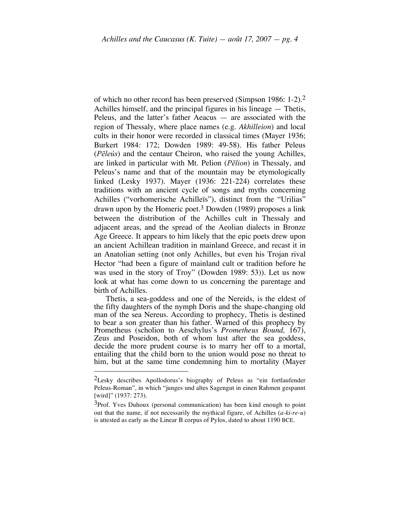of which no other record has been preserved (Simpson 1986: 1-2). 2 Achilles himself, and the principal figures in his lineage — Thetis, Peleus, and the latter's father Aeacus — are associated with the region of Thessaly, where place names (e.g. *Akhilleion*) and local cults in their honor were recorded in classical times (Mayer 1936; Burkert 1984: 172; Dowden 1989: 49-58). His father Peleus (*Pēleús*) and the centaur Cheiron, who raised the young Achilles, are linked in particular with Mt. Pelion (*Pēlion*) in Thessaly, and Peleus's name and that of the mountain may be etymologically linked (Lesky 1937). Mayer (1936: 221-224) correlates these traditions with an ancient cycle of songs and myths concerning Achilles ("vorhomerische Achilleïs"), distinct from the "Urilias" drawn upon by the Homeric poet. 3 Dowden (1989) proposes a link between the distribution of the Achilles cult in Thessaly and adjacent areas, and the spread of the Aeolian dialects in Bronze Age Greece. It appears to him likely that the epic poets drew upon an ancient Achillean tradition in mainland Greece, and recast it in an Anatolian setting (not only Achilles, but even his Trojan rival Hector "had been a figure of mainland cult or tradition before he was used in the story of Troy" (Dowden 1989: 53)). Let us now look at what has come down to us concerning the parentage and birth of Achilles.

Thetis, a sea-goddess and one of the Nereids, is the eldest of the fifty daughters of the nymph Doris and the shape-changing old man of the sea Nereus. According to prophecy, Thetis is destined to bear a son greater than his father. Warned of this prophecy by Prometheus (scholion to Aeschylus's *Prometheus Bound,* 167), Zeus and Poseidon, both of whom lust after the sea goddess, decide the more prudent course is to marry her off to a mortal, entailing that the child born to the union would pose no threat to him, but at the same time condemning him to mortality (Mayer

<sup>&</sup>lt;sup>2</sup>Lesky describes Apollodorus's biography of Peleus as "ein fortlaufender Peleus-Roman", in which "junges und altes Sagengut in einen Rahmen gespannt [wird]" (1937: 273).

<sup>&</sup>lt;sup>3</sup>Prof. Yves Duhoux (personal communication) has been kind enough to point out that the name, if not necessarily the mythical figure, of Achilles (*a-ki-re-u*) is attested as early as the Linear B corpus of Pylos, dated to about 1190 BCE.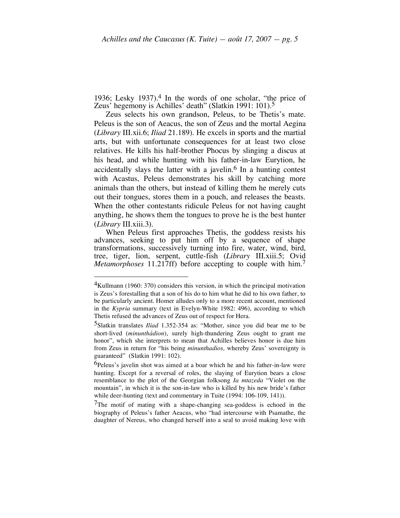1936; Lesky 1937). 4 In the words of one scholar, "the price of Zeus' hegemony is Achilles' death" (Slatkin 1991: 101).<sup>5</sup>

Zeus selects his own grandson, Peleus, to be Thetis's mate. Peleus is the son of Aeacus, the son of Zeus and the mortal Aegina (*Library* III.xii.6; *Iliad* 21.189). He excels in sports and the martial arts, but with unfortunate consequences for at least two close relatives. He kills his half-brother Phocus by slinging a discus at his head, and while hunting with his father-in-law Eurytion, he accidentally slays the latter with a javelin.<sup>6</sup> In a hunting contest with Acastus, Peleus demonstrates his skill by catching more animals than the others, but instead of killing them he merely cuts out their tongues, stores them in a pouch, and releases the beasts. When the other contestants ridicule Peleus for not having caught anything, he shows them the tongues to prove he is the best hunter (*Library* III.xiii.3).

When Peleus first approaches Thetis, the goddess resists his advances, seeking to put him off by a sequence of shape transformations, successively turning into fire, water, wind, bird, tree, tiger, lion, serpent, cuttle-fish (*Library* III.xiii.5; Ovid *Metamorphoses* 11.217ff) before accepting to couple with him. 7

<sup>&</sup>lt;sup>4</sup>Kullmann (1960: 370) considers this version, in which the principal motivation is Zeus's forestalling that a son of his do to him what he did to his own father, to be particularly ancient. Homer alludes only to a more recent account, mentioned in the *Kypria* summary (text in Evelyn-White 1982: 496), according to which Thetis refused the advances of Zeus out of respect for Hera.

<sup>5</sup>Slatkin translates *Iliad* 1.352-354 as: "Mother, since you did bear me to be short-lived (*minunthádion*), surely high-thundering Zeus ought to grant me honor", which she interprets to mean that Achilles believes honor is due him from Zeus in return for "his being *minunthadios,* whereby Zeus' sovereignty is guaranteed" (Slatkin 1991: 102).

<sup>6</sup>Peleus's javelin shot was aimed at a boar which he and his father-in-law were hunting. Except for a reversal of roles, the slaying of Eurytion bears a close resemblance to the plot of the Georgian folksong *Ia mtazeda* "Violet on the mountain", in which it is the son-in-law who is killed by his new bride's father while deer-hunting (text and commentary in Tuite (1994: 106-109, 141)).

<sup>7</sup>The motif of mating with a shape-changing sea-goddess is echoed in the biography of Peleus's father Aeacus, who "had intercourse with Psamathe, the daughter of Nereus, who changed herself into a seal to avoid making love with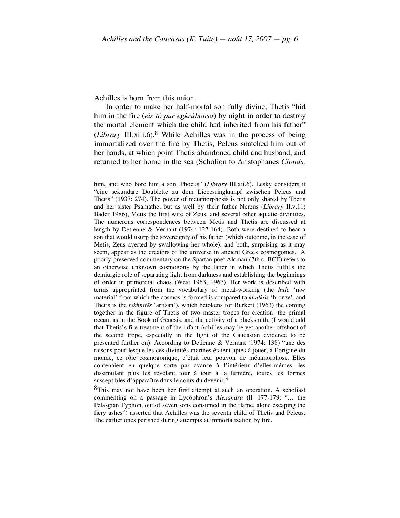Achilles is born from this union.

In order to make her half-mortal son fully divine, Thetis "hid him in the fire (*eis tò pûr egkrúbousa*) by night in order to destroy the mortal element which the child had inherited from his father" (*Library* III.xiii.6). 8 While Achilles was in the process of being immortalized over the fire by Thetis, Peleus snatched him out of her hands, at which point Thetis abandoned child and husband, and returned to her home in the sea (Scholion to Aristophanes *Clouds,*

him, and who bore him <sup>a</sup> son, Phocus" (*Library* III.xii.6). Lesky considers it "eine sekundäre Doublette zu dem Liebesringkampf zwischen Peleus und Thetis" (1937: 274). The power of metamorphosis is not only shared by Thetis and her sister Psamathe, but as well by their father Nereus (*Library* II.v.11; Bader 1986), Metis the first wife of Zeus, and several other aquatic divinities. The numerous correspondences between Metis and Thetis are discussed at length by Detienne & Vernant (1974: 127-164). Both were destined to bear a son that would usurp the sovereignty of his father (which outcome, in the case of Metis, Zeus averted by swallowing her whole), and both, surprising as it may seem, appear as the creators of the universe in ancient Greek cosmogonies. A poorly-preserved commentary on the Spartan poet Alcman (7th c. BCE) refers to an otherwise unknown cosmogony by the latter in which Thetis fulfills the demiurgic role of separating light from darkness and establishing the beginnings of order in primordial chaos (West 1963, 1967). Her work is described with terms appropriated from the vocabulary of metal-working (the *hulē* 'raw material' from which the cosmos is formed is compared to *khalkós* 'bronze', and Thetis is the *tekhnítēs* 'artisan'), which betokens for Burkert (1963) the coming together in the figure of Thetis of two master tropes for creation: the primal ocean, as in the Book of Genesis, and the activity of a blacksmith. (I would add that Thetis's fire-treatment of the infant Achilles may be yet another offshoot of the second trope, especially in the light of the Caucasian evidence to be presented further on). According to Detienne & Vernant (1974: 138) "une des raisons pour lesquelles ces divinités marines étaient aptes à jouer, à l'origine du monde, ce rôle cosmogonique, c'était leur pouvoir de métamorphose. Elles contenaient en quelque sorte par avance à l'intérieur d'elles-mêmes, les dissimulant puis les révélant tour à tour à la lumière, toutes les formes susceptibles d'apparaître dans le cours du devenir."

<sup>&</sup>lt;sup>8</sup>This may not have been her first attempt at such an operation. A scholiast commenting on a passage in Lycophron's *Alexandra* (ll. 177-179: "… the Pelasgian Typhon, out of seven sons consumed in the flame, alone escaping the fiery ashes") asserted that Achilles was the seventh child of Thetis and Peleus. The earlier ones perished during attempts at immortalization by fire.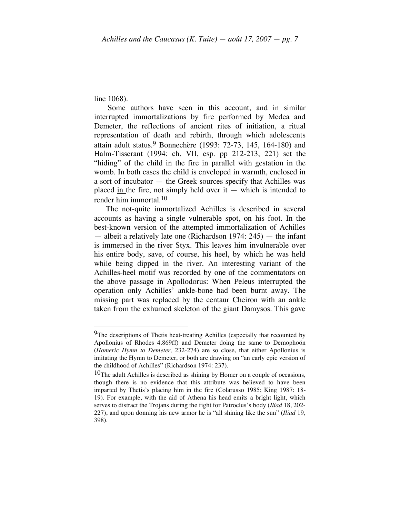line 1068).

Some authors have seen in this account, and in similar interrupted immortalizations by fire performed by Medea and Demeter, the reflections of ancient rites of initiation, a ritual representation of death and rebirth, through which adolescents attain adult status.9 Bonnechère (1993: 72-73, 145, 164-180) and Halm-Tisserant (1994: ch. VII, esp. pp 212-213, 221) set the "hiding" of the child in the fire in parallel with gestation in the womb. In both cases the child is enveloped in warmth, enclosed in a sort of incubator — the Greek sources specify that Achilles was placed in the fire, not simply held over it  $-$  which is intended to render him immortal. 10

The not-quite immortalized Achilles is described in several accounts as having a single vulnerable spot, on his foot. In the best-known version of the attempted immortalization of Achilles — albeit a relatively late one (Richardson 1974: 245) — the infant is immersed in the river Styx. This leaves him invulnerable over his entire body, save, of course, his heel, by which he was held while being dipped in the river. An interesting variant of the Achilles-heel motif was recorded by one of the commentators on the above passage in Apollodorus: When Peleus interrupted the operation only Achilles' ankle-bone had been burnt away. The missing part was replaced by the centaur Cheiron with an ankle taken from the exhumed skeleton of the giant Damysos. This gave

<sup>&</sup>lt;sup>9</sup>The descriptions of Thetis heat-treating Achilles (especially that recounted by Apollonius of Rhodes 4.869ff) and Demeter doing the same to Demophoön (*Homeric Hymn to Demeter,* 232-274) are so close, that either Apollonius is imitating the Hymn to Demeter, or both are drawing on "an early epic version of the childhood of Achilles" (Richardson 1974: 237).

<sup>10</sup>The adult Achilles is described as shining by Homer on a couple of occasions, though there is no evidence that this attribute was believed to have been imparted by Thetis's placing him in the fire (Colarusso 1985; King 1987: 18- 19). For example, with the aid of Athena his head emits a bright light, which serves to distract the Trojans during the fight for Patroclus's body (*Iliad* 18, 202- 227), and upon donning his new armor he is "all shining like the sun" (*Iliad* 19, 398).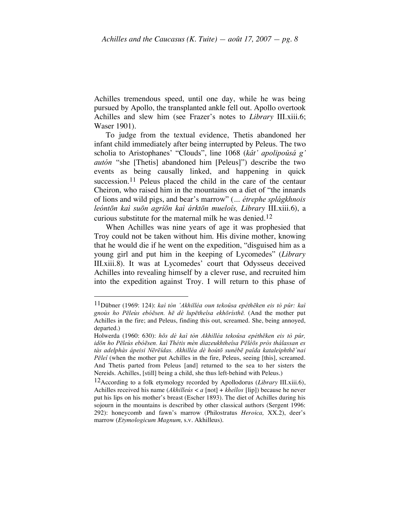Achilles tremendous speed, until one day, while he was being pursued by Apollo, the transplanted ankle fell out. Apollo overtook Achilles and slew him (see Frazer's notes to *Library* III.xiii.6; Waser 1901).

To judge from the textual evidence, Thetis abandoned her infant child immediately after being interrupted by Peleus. The two scholia to Aristophanes' "Clouds", line 1068 (*kât' apolipoûsá g' autón* "she [Thetis] abandoned him [Peleus]") describe the two events as being causally linked, and happening in quick succession.<sup>11</sup> Peleus placed the child in the care of the centaur Cheiron, who raised him in the mountains on a diet of "the innards of lions and wild pigs, and bear's marrow" (*… étrephe splágkhnois leóntōn kaì suōn agríōn kaì árktōn mueloîs, Library* III.xiii.6), a curious substitute for the maternal milk he was denied.12

When Achilles was nine years of age it was prophesied that Troy could not be taken without him. His divine mother, knowing that he would die if he went on the expedition, "disguised him as a young girl and put him in the keeping of Lycomedes" (*Library* III.xiii.8). It was at Lycomedes' court that Odysseus deceived Achilles into revealing himself by a clever ruse, and recruited him into the expedition against Troy. I will return to this phase of

 <sup>11</sup>Dübner (1969: 124): *kaì tòn 'Akhilléa oun tekoûsa epéthēken eis tò pûr: kaì gnoùs ho Pēleùs ebóēsen. hē dè lupētheîsa ekhōrísthē.* (And the mother put Achilles in the fire; and Peleus, finding this out, screamed. She, being annoyed, departed.)

Holwerda (1960: 630): *hōs dè kaì tòn Akhilléa tekoûsa epéthēken eis tò pûr,* idōn ho Pēleùs ebóēsen, kaì Thétis mèn diazeukhtheîsa Pēléōs pròs thálassan es *tàs adelphàs ápeisi Nērēídas. Akhilléa dè hoútō sunébē paîda kataleiphthē`nai Pēleî* (when the mother put Achilles in the fire, Peleus, seeing [this], screamed. And Thetis parted from Peleus [and] returned to the sea to her sisters the Nereids. Achilles, [still] being a child, she thus left-behind with Peleus.)

<sup>12</sup>According to a folk etymology recorded by Apollodorus (*Library* III.xiii.6), Achilles received his name (*Akhilleús* < *a* [not] + *kheîlos* [lip]) because he never put his lips on his mother's breast (Escher 1893). The diet of Achilles during his sojourn in the mountains is described by other classical authors (Sergent 1996: 292): honeycomb and fawn's marrow (Philostratus *Heroica,* XX.2), deer's marrow (*Etymologicum Magnum,* s.v. Akhilleus).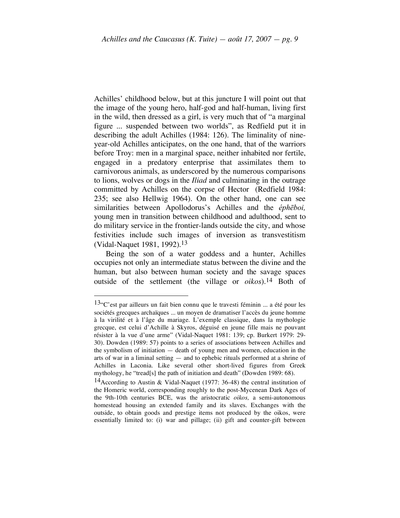Achilles' childhood below, but at this juncture I will point out that the image of the young hero, half-god and half-human, living first in the wild, then dressed as a girl, is very much that of "a marginal figure ... suspended between two worlds", as Redfield put it in describing the adult Achilles (1984: 126). The liminality of nineyear-old Achilles anticipates, on the one hand, that of the warriors before Troy: men in a marginal space, neither inhabited nor fertile, engaged in a predatory enterprise that assimilates them to carnivorous animals, as underscored by the numerous comparisons to lions, wolves or dogs in the *Iliad* and culminating in the outrage committed by Achilles on the corpse of Hector (Redfield 1984: 235; see also Hellwig 1964). On the other hand, one can see similarities between Apollodorus's Achilles and the *éphēboi,* young men in transition between childhood and adulthood, sent to do military service in the frontier-lands outside the city, and whose festivities include such images of inversion as transvestitism (Vidal-Naquet 1981, 1992). 13

Being the son of a water goddess and a hunter, Achilles occupies not only an intermediate status between the divine and the human, but also between human society and the savage spaces outside of the settlement (the village or *oikos*). 14 Both of

 $13$ "C'est par ailleurs un fait bien connu que le travesti féminin ... a été pour les sociétés grecques archaïques ... un moyen de dramatiser l'accès du jeune homme à la virilité et à l'âge du mariage. L'exemple classique, dans la mythologie grecque, est celui d'Achille à Skyros, déguisé en jeune fille mais ne pouvant résister à la vue d'une arme" (Vidal-Naquet 1981: 139; cp. Burkert 1979: 29- 30). Dowden (1989: 57) points to a series of associations between Achilles and the symbolism of initiation — death of young men and women, education in the arts of war in a liminal setting — and to ephebic rituals performed at a shrine of Achilles in Laconia. Like several other short-lived figures from Greek mythology, he "tread[s] the path of initiation and death" (Dowden 1989: 68).

<sup>&</sup>lt;sup>14</sup>According to Austin & Vidal-Naquet (1977: 36-48) the central institution of the Homeric world, corresponding roughly to the post-Mycenean Dark Ages of the 9th-10th centuries BCE, was the aristocratic *oikos,* a semi-autonomous homestead housing an extended family and its slaves. Exchanges with the outside, to obtain goods and prestige items not produced by the oikos, were essentially limited to: (i) war and pillage; (ii) gift and counter-gift between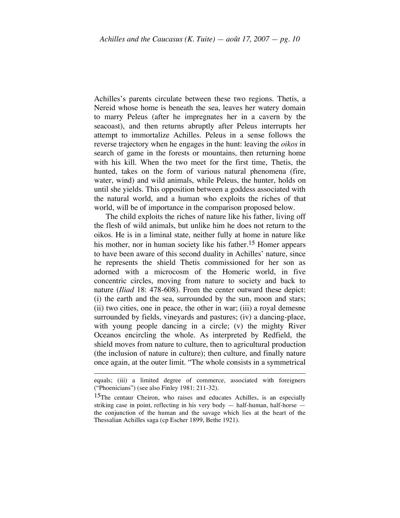Achilles's parents circulate between these two regions. Thetis, a Nereid whose home is beneath the sea, leaves her watery domain to marry Peleus (after he impregnates her in a cavern by the seacoast), and then returns abruptly after Peleus interrupts her attempt to immortalize Achilles. Peleus in a sense follows the reverse trajectory when he engages in the hunt: leaving the *oikos* in search of game in the forests or mountains, then returning home with his kill. When the two meet for the first time, Thetis, the hunted, takes on the form of various natural phenomena (fire, water, wind) and wild animals, while Peleus, the hunter, holds on until she yields. This opposition between a goddess associated with the natural world, and a human who exploits the riches of that world, will be of importance in the comparison proposed below.

The child exploits the riches of nature like his father, living off the flesh of wild animals, but unlike him he does not return to the oikos. He is in a liminal state, neither fully at home in nature like his mother, nor in human society like his father.<sup>15</sup> Homer appears to have been aware of this second duality in Achilles' nature, since he represents the shield Thetis commissioned for her son as adorned with a microcosm of the Homeric world, in five concentric circles, moving from nature to society and back to nature (*Iliad* 18: 478-608). From the center outward these depict: (i) the earth and the sea, surrounded by the sun, moon and stars; (ii) two cities, one in peace, the other in war; (iii) a royal demesne surrounded by fields, vineyards and pastures; (iv) a dancing-place, with young people dancing in a circle; (v) the mighty River Oceanos encircling the whole. As interpreted by Redfield, the shield moves from nature to culture, then to agricultural production (the inclusion of nature in culture); then culture, and finally nature once again, at the outer limit. "The whole consists in a symmetrical

equals; (iii) <sup>a</sup> limited degree of commerce, associated with foreigners ("Phoenicians") (see also Finley 1981: 211-32).

<sup>&</sup>lt;sup>15</sup>The centaur Cheiron, who raises and educates Achilles, is an especially striking case in point, reflecting in his very body — half-human, half-horse the conjunction of the human and the savage which lies at the heart of the Thessalian Achilles saga (cp Escher 1899, Bethe 1921).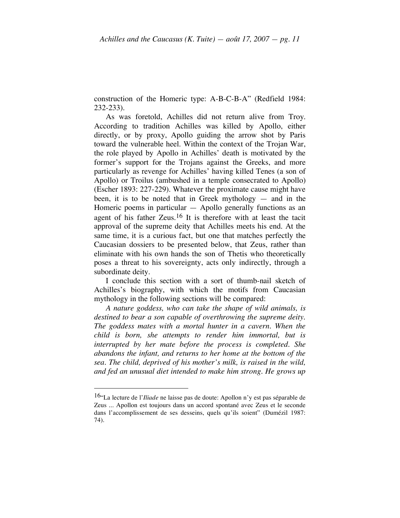construction of the Homeric type: A-B-C-B-A" (Redfield 1984: 232-233).

As was foretold, Achilles did not return alive from Troy. According to tradition Achilles was killed by Apollo, either directly, or by proxy, Apollo guiding the arrow shot by Paris toward the vulnerable heel. Within the context of the Trojan War, the role played by Apollo in Achilles' death is motivated by the former's support for the Trojans against the Greeks, and more particularly as revenge for Achilles' having killed Tenes (a son of Apollo) or Troilus (ambushed in a temple consecrated to Apollo) (Escher 1893: 227-229). Whatever the proximate cause might have been, it is to be noted that in Greek mythology  $-$  and in the Homeric poems in particular  $-$  Apollo generally functions as an agent of his father Zeus.<sup>16</sup> It is therefore with at least the tacit approval of the supreme deity that Achilles meets his end. At the same time, it is a curious fact, but one that matches perfectly the Caucasian dossiers to be presented below, that Zeus, rather than eliminate with his own hands the son of Thetis who theoretically poses a threat to his sovereignty, acts only indirectly, through a subordinate deity.

I conclude this section with a sort of thumb-nail sketch of Achilles's biography, with which the motifs from Caucasian mythology in the following sections will be compared:

*A nature goddess, who can take the shape of wild animals, is destined to bear a son capable of overthrowing the supreme deity. The goddess mates with a mortal hunter in a cavern. When the child is born, she attempts to render him immortal, but is interrupted by her mate before the process is completed. She abandons the infant, and returns to her home at the bottom of the sea. The child, deprived of his mother's milk, is raised in the wild, and fed an unusual diet intended to make him strong. He grows up*

 <sup>16&</sup>quot;La lecture de l'*Iliade* ne laisse pas de doute: Apollon n'y est pas séparable de Zeus ... Apollon est toujours dans un accord spontané avec Zeus et le seconde dans l'accomplissement de ses desseins, quels qu'ils soient" (Dumézil 1987: 74).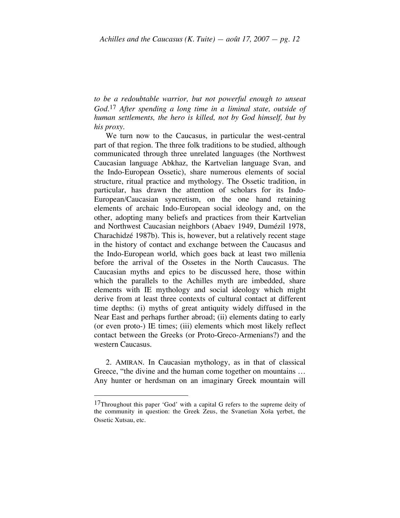*to be a redoubtable warrior, but not powerful enough to unseat God.*17 *After spending a long time in a liminal state, outside of human settlements, the hero is killed, not by God himself, but by his proxy.*

We turn now to the Caucasus, in particular the west-central part of that region. The three folk traditions to be studied, although communicated through three unrelated languages (the Northwest Caucasian language Abkhaz, the Kartvelian language Svan, and the Indo-European Ossetic), share numerous elements of social structure, ritual practice and mythology. The Ossetic tradition, in particular, has drawn the attention of scholars for its Indo-European/Caucasian syncretism, on the one hand retaining elements of archaic Indo-European social ideology and, on the other, adopting many beliefs and practices from their Kartvelian and Northwest Caucasian neighbors (Abaev 1949, Dumézil 1978, Charachidzé 1987b). This is, however, but a relatively recent stage in the history of contact and exchange between the Caucasus and the Indo-European world, which goes back at least two millenia before the arrival of the Ossetes in the North Caucasus. The Caucasian myths and epics to be discussed here, those within which the parallels to the Achilles myth are imbedded, share elements with IE mythology and social ideology which might derive from at least three contexts of cultural contact at different time depths: (i) myths of great antiquity widely diffused in the Near East and perhaps further abroad; (ii) elements dating to early (or even proto-) IE times; (iii) elements which most likely reflect contact between the Greeks (or Proto-Greco-Armenians?) and the western Caucasus.

2. AMIRAN. In Caucasian mythology, as in that of classical Greece, "the divine and the human come together on mountains … Any hunter or herdsman on an imaginary Greek mountain will

<sup>&</sup>lt;sup>17</sup>Throughout this paper 'God' with a capital G refers to the supreme deity of the community in question: the Greek  $\overline{Z}$ eus, the Svanetian Xoša verbet, the Ossetic Xutsau, etc.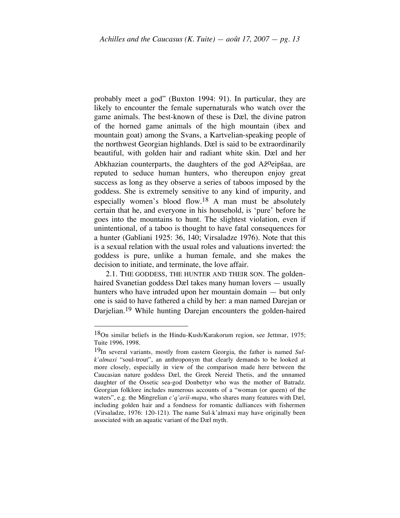probably meet a god" (Buxton 1994: 91). In particular, they are likely to encounter the female supernaturals who watch over the game animals. The best-known of these is Dæl, the divine patron of the horned game animals of the high mountain (ibex and mountain goat) among the Svans, a Kartvelian-speaking people of the northwest Georgian highlands. Dæl is said to be extraordinarily beautiful, with golden hair and radiant white skin. Dæl and her Abkhazian counterparts, the daughters of the god Až<sup>o</sup>eipšaa, are reputed to seduce human hunters, who thereupon enjoy great success as long as they observe a series of taboos imposed by the goddess. She is extremely sensitive to any kind of impurity, and especially women's blood flow.18 A man must be absolutely certain that he, and everyone in his household, is 'pure' before he goes into the mountains to hunt. The slightest violation, even if unintentional, of a taboo is thought to have fatal consequences for a hunter (Gabliani 1925: 36, 140; Virsaladze 1976). Note that this is a sexual relation with the usual roles and valuations inverted: the goddess is pure, unlike a human female, and she makes the decision to initiate, and terminate, the love affair.

2.1. THE GODDESS, THE HUNTER AND THEIR SON. The goldenhaired Svanetian goddess Dæl takes many human lovers — usually hunters who have intruded upon her mountain domain — but only one is said to have fathered a child by her: a man named Darejan or Darjelian.19 While hunting Darejan encounters the golden-haired

 <sup>18</sup>On similar beliefs in the Hindu-Kush/Karakorum region, see Jettmar, 1975; Tuite 1996, 1998.

<sup>19</sup>In several variants, mostly from eastern Georgia, the father is named *Sulk'almaxi* "soul-trout", an anthroponym that clearly demands to be looked at more closely, especially in view of the comparison made here between the Caucasian nature goddess Dæl, the Greek Nereid Thetis, and the unnamed daughter of the Ossetic sea-god Donbettyr who was the mother of Batradz. Georgian folklore includes numerous accounts of a "woman (or queen) of the waters", e.g. the Mingrelian *c'q'ariš-mapa*, who shares many features with Dæl, including golden hair and a fondness for romantic dalliances with fishermen (Virsaladze, 1976: 120-121). The name Sul-k'almaxi may have originally been associated with an aquatic variant of the Dæl myth.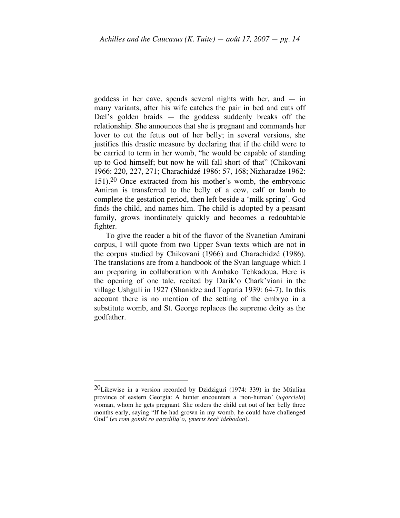goddess in her cave, spends several nights with her, and — in many variants, after his wife catches the pair in bed and cuts off Dæl's golden braids — the goddess suddenly breaks off the relationship. She announces that she is pregnant and commands her lover to cut the fetus out of her belly; in several versions, she justifies this drastic measure by declaring that if the child were to be carried to term in her womb, "he would be capable of standing up to God himself; but now he will fall short of that" (Chikovani 1966: 220, 227, 271; Charachidzé 1986: 57, 168; Nizharadze 1962: 151). 20 Once extracted from his mother's womb, the embryonic Amiran is transferred to the belly of a cow, calf or lamb to complete the gestation period, then left beside a 'milk spring'. God finds the child, and names him. The child is adopted by a peasant family, grows inordinately quickly and becomes a redoubtable fighter.

To give the reader a bit of the flavor of the Svanetian Amirani corpus, I will quote from two Upper Svan texts which are not in the corpus studied by Chikovani (1966) and Charachidzé (1986). The translations are from a handbook of the Svan language which I am preparing in collaboration with Ambako Tchkadoua. Here is the opening of one tale, recited by Darik'o Chark'viani in the village Ushguli in 1927 (Shanidze and Topuria 1939: 64-7). In this account there is no mention of the setting of the embryo in a substitute womb, and St. George replaces the supreme deity as the godfather.

 $20$ Likewise in a version recorded by Dzidziguri (1974: 339) in the Mtiulian province of eastern Georgia: A hunter encounters a 'non-human' (*uqorcielo*) woman, whom he gets pregnant. She orders the child cut out of her belly three months early, saying "If he had grown in my womb, he could have challenged God" (*es rom gomši ro gazrdiliq'o,* <sup>ƒ</sup>*merts šeeč'idebodao*).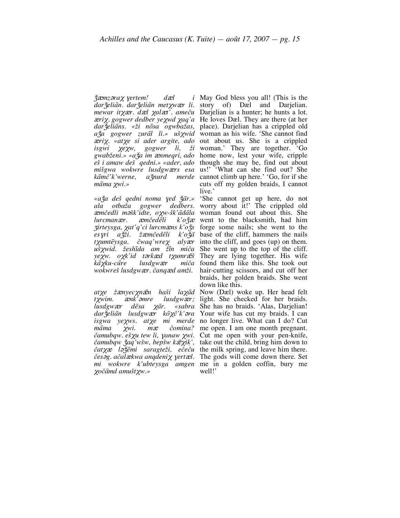$\check{\chi}$ *æmz* $\check{\sigma}$ *ra* $\chi$  *yertem! dæl* <sup>Q</sup>*ri*X*. «at*X*e si ader argite, ado isgwi* <sup>X</sup>*e*X*w, gogwer li, ži m*a*ma χwi.*»

<sup>Z</sup>*irteysga,* X*at'q'ci lurcm*Q*ns k'o*Z&*s es*ƒ*ri a*Z&*ži. ž*Q*mčede*#*li k'o*Z*a*& # *t*X*umte*#*ysga. čwaq'wre*<sup>X</sup> *aly*Q*r uš*X*wid. žeshi*#*da am ži*#*n miča ye*X*w. o*X*k'id t*´*rk*Q*d t*X*umr*Q#*š kā* xku-cūre lusdgwær

*dar*Z&*elia*#*n lusdgw*Q*r ko*#X*č'k'*´*ra isgwa ye*X*ws. at*X*e mi merde ma*#*ma* <sup>X</sup>*wi. m*<sup>Q</sup> *čomina? čamubqw. eš*X*u tew li,* <sup>ƒ</sup>*anaw* X*wi. čamubqw* Z&*aq'wšw, bepšw k*Q#X*ik',* <sup>X</sup>*oča*#*md amušt*X*w.»*

 $dar\ddot{\mathbf{z}}$ *eliān. dar* $\ddot{\mathbf{z}}$ *eliān met* $\chi$ *wær li. story of) Dæl and Darjelian. mewar it*<sub>X</sub>*xxr. dxel xalxt'. ameču* Darjelian is a hunter; he hunts a lot. <sup>Q</sup>*ri*X. *gogwer dedber ye*X*wd* X*aq'a* He loves Dæl. They are there (at her *dar*Z&*elia*#*ns. «ži no*#*sa ogwbažas,* place). Darjelian has a crippled old aža gogwer *zural li.» uš x*wid woman as his wife. 'She cannot find *gwabženi.» «a*Z&*a im* <sup>Q</sup>*nmeqri, ado* home now, lest your wife, cripple *eš i amaw deš qedni.» «ader, ado* though she may be, find out about *mišgwa wokwre lusdgwærs esa* us!' 'What can she find out? She kamč'k'werne, ažnurd merde cannot climb up here.' 'Go, for if she  $i$  May God bless you all! (This is the out about us. She is a crippled woman.' They are together. 'Go cuts off my golden braids, I cannot live.'

*«a*Z&*a deš qedni noma* <sup>ƒ</sup>*ed* <sup>Z</sup>*a*& #*r.»* 'She cannot get up here, do not *ala otbaža gogwer dedbers.* worry about it!' The crippled old <sup>Q</sup>*mčedli m*´*šk'idte, o*X*w-šk'a*#*da*#*la* woman found out about this. She *lurcmanær. æmčedēli k'ožæ* went to the blacksmith, had him *wokwreš lusdgw*Q*r. čanq*Q*d amži.* hair-cutting scissors, and cut off her forge some nails; she went to the base of the cliff, hammers the nails into the cliff, and goes (up) on them. She went up to the top of the cliff. They are lying together. His wife miča found them like this. She took out braids, her golden braids. She went down like this.

*atχe žænyecχnæn haši laχād* Now (Dæl) woke up. Her head felt *t xwim.* ank'omre lusdgwar; light. She checked for her braids. *lusdgwær dēsa*  $\chi$ *ār. «sabra* She has no braids. 'Alas, Darjelian!  $\frac{\partial}{\partial x}$  *l*<sup>2</sup>/<sub>*zemi saragteži, ečeču* the milk spring, and leave him there.</sub> *čes*´*g. ačal*Q*kwa anqdeni*<sup>X</sup> <sup>ƒ</sup>*ert*Q*l.* The gods will come down there. Set *mi wokwre k'ubteysga amgen* me in a golden coffin, bury me Your wife has cut my braids. I can no longer live. What can I do? Cut me open. I am one month pregnant. Cut me open with your pen-knife, take out the child, bring him down to well!'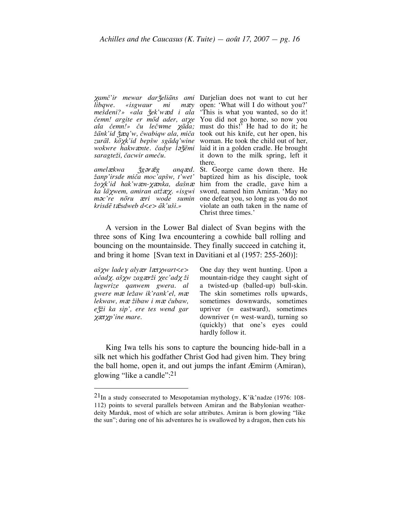*saragteži, čacwir ameču.*

*amel*&*xwa*  $\check{\gamma}$ *g* $\rho$ *r*  $\bar{\alpha}$ *g anq*&*d. žanp'irsde miča moc'apšw, t'wet' krisde*# *t*Q#*sdweb d<e> a*#*k'uši.»*

<sup>X</sup>*amč'ir mewar dar*Z&*elia*#*ns ami* Darjelian does not want to cut her *libqwe.* «*isgwaur mi mæy* open: 'What will I do without you?' *mešdeni?»* «ala *žek'w*&*d i* ala 'This is what you wanted, so do it! *čemn! argite er mo*#*d ader, at*X*e*  You did not go home, so now you *ala čemn!» ču leč*w*me* X*a*#*da;* must do this!' He had to do it; he *ža*#*nk'id* Z&Q*q'w, čwabiqw ala, miča* took out his knife, cut her open, his *zura*#*l. ko*#X*k'id bepšw sga*#*dq'wine* woman. He took the child out of her, *wokwre hakwænte. čadye lažēmi* laid it in a golden cradle. He brought it down to the milk spring, left it there.

*žo*X*k'id hak'w*Q*n-*XQ*nka, dašn*<sup>Q</sup> him from the cradle, gave him a *ka la*#X*wem, amiran atž*QX*. «isgwi* sword, named him Amiran. 'May no *m* $\sigma$ *'re no*<sup>*ru*</sup> *æri wode sumin* one defeat you, so long as you do not St. George came down there. He baptized him as his disciple, took violate an oath taken in the name of Christ three times.'

A version in the Lower Bal dialect of Svan begins with the three sons of King Iwa encountering a cowhide ball rolling and bouncing on the mountainside. They finally succeed in catching it, and bring it home [Svan text in Davitiani et al (1957: 255-260)]:

*aš*X*w lade*<sup>ƒ</sup> *aly*Q*r l*Q*t*X*wart<e> ačad*X*. aš*X*w zag*Q*rži* <sup>X</sup>*ec'ad*<sup>X</sup> *ži lugwrize qanwem gwera. al gwere m*<sup>Q</sup> *ležaw ik'rank'el, m*<sup>Q</sup> *lekwaw, m*<sup>Q</sup> *žibaw i m*<sup>Q</sup> *čubaw, e*Z&*ži ka sip', ere tes wend gar* XQ*t*X*p'ine mare.*

One day they went hunting. Upon a mountain-ridge they caught sight of a twisted-up (balled-up) bull-skin. The skin sometimes rolls upwards, sometimes downwards, sometimes upriver (= eastward), sometimes downriver (= west-ward), turning so (quickly) that one's eyes could hardly follow it.

King Iwa tells his sons to capture the bouncing hide-ball in a silk net which his godfather Christ God had given him. They bring the ball home, open it, and out jumps the infant Æmirm (Amiran), glowing "like a candle":21

 <sup>21</sup>In <sup>a</sup> study consecrated to Mesopotamian mythology, K'ik'nadze (1976: 108- 112) points to several parallels between Amiran and the Babylonian weatherdeity Marduk, most of which are solar attributes. Amiran is born glowing "like the sun"; during one of his adventures he is swallowed by a dragon, then cuts his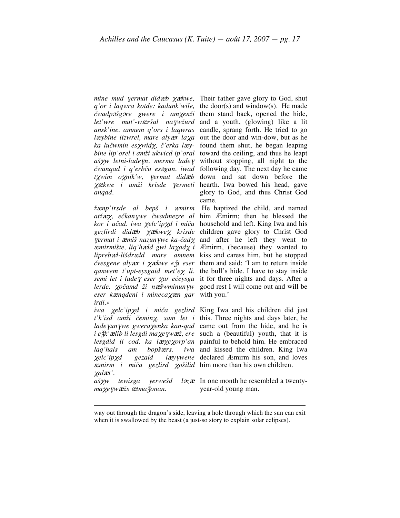*anqad.*

*eser k*Q*nqdeni i mineca*XQ*n gar* with you.' *irdi.»*

*laq'hals am bopšxers.* <sup>Q</sup>*mirm i miča gezlird* <sup>X</sup>*ošilid* him more than his own children.  $\chi$ *al* $\mathcal{X}'$ .

*ma*χe *yw*æžs ætma *žonan*.

*mine mud yermat didæb*  $\chi$ *ækwe, Their father gave glory to God, shut q'or i laqwra kotde: kadunk'wile,* the door(s) and window(s). He made *čwadp*´*šg*´*re gwere i am*X*enži* them stand back, opened the hide, *let'wre mut'-w*Q*ršal na*ƒ*wžurd* and a youth, (glowing) like a lit *ansk'ine. amnem q'ors i laqwras* candle, sprang forth. He tried to go l*a*cybine lizwrel, mare alyar laxa out the door and win-dow, but as he *ka lučwmin es*X*wid*X*, č'erka l*Q*y-*found them shut, he began leaping *bine lip'orel i amži ukwicd ip'oral* toward the ceiling, and thus he leapt aš *xw* letni-lade yn. *merma lade* y without stopping, all night to the *čwanqad i q'erbču es*´*gan. iwad* following day. The next day he came *t*X*wim o*X*nik'w,* <sup>ƒ</sup>*ermat did*Q*b* down and sat down before the  $\chi$ ækwe *i amži krisde yermeti* hearth. Iwa bowed his head, gave glory to God, and thus Christ God came.

 $\check{z}$ *emp'irsde al bepš i æmirm* He baptized the child, and named *atž*QX*, ečkan*ƒ*we čwadmezre al* him Æmirm; then he blessed the *kor i ačad. iwa χelc'ipχd i miča* household and left. King Iwa and his *gezlirdi did*Q*b* XQ*kwe*X *krisde*  children gave glory to Christ God <sup>ƒ</sup>*ermat i* <sup>Q</sup>*miš nazun*ƒ*we ka-čad*<sup>X</sup> and after he left they went to <sup>Q</sup>*mirmište, liq'h*Q*ld gwi la*X*ad*<sup>X</sup> *i* Æmirm, (because) they wanted to *lipreb* xel-li<sub>bid</sub> rald mare amnem kiss and caress him, but he stopped *čvesgene aly*Q*r i* XQ*kwe «*Z*i*& *eser* them and said: 'I am to return inside *qanwem t'upt-eysgaid met'e*X *li.* the bull's hide. I have to stay inside *semi let i lade*<sup>ƒ</sup> *eser* <sup>X</sup>*ar ečeysga* it for three nights and days. After a *lerde.*  $\chi$ očamd ži næšwminunyw good rest I will come out and will be

*iwa* <sup>X</sup>*elc'ip*X*d i miča gezlird* King Iwa and his children did just *t'k'isd amži čemin*X*. sam let i* this. Three nights and days later, he *lade*ƒ*un*ƒ*we gwera*X*enka kan-qad* came out from the hide, and he is *i e*Z&*k'*Q*lib li lesgdi ma*X*e*ƒ*w*Q*ž, ere* such a (beautiful) youth, that it is *lesgdid li cod. ka læxcxorp'an* painful to behold him. He embraced X*elc'ip*X*d gezald l*Q*y*ƒ*wene* declared Æmirm his son, and loves iwa and kissed the children. King Iwa

a<sup>*š*</sup><sub>X</sub><sup>*w*</sup> *tewisga yerwešd l*<sub>2</sub>*x* In one month he resembled a twentyyear-old young man.

 way out through the dragon's side, leaving <sup>a</sup> hole through which the sun can exit when it is swallowed by the beast (a just-so story to explain solar eclipses).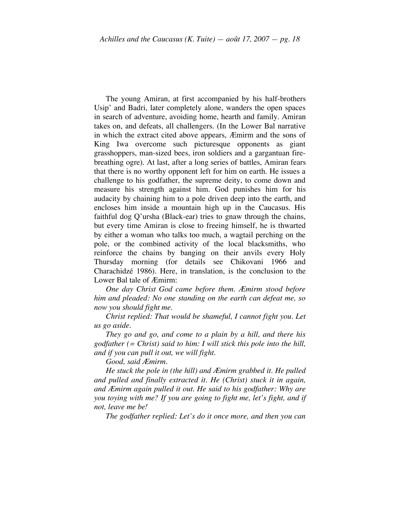The young Amiran, at first accompanied by his half-brothers Usip' and Badri, later completely alone, wanders the open spaces in search of adventure, avoiding home, hearth and family. Amiran takes on, and defeats, all challengers. (In the Lower Bal narrative in which the extract cited above appears, Æmirm and the sons of King Iwa overcome such picturesque opponents as giant grasshoppers, man-sized bees, iron soldiers and a gargantuan firebreathing ogre). At last, after a long series of battles, Amiran fears that there is no worthy opponent left for him on earth. He issues a challenge to his godfather, the supreme deity, to come down and measure his strength against him. God punishes him for his audacity by chaining him to a pole driven deep into the earth, and encloses him inside a mountain high up in the Caucasus. His faithful dog Q'ursha (Black-ear) tries to gnaw through the chains, but every time Amiran is close to freeing himself, he is thwarted by either a woman who talks too much, a wagtail perching on the pole, or the combined activity of the local blacksmiths, who reinforce the chains by banging on their anvils every Holy Thursday morning (for details see Chikovani 1966 and Charachidzé 1986). Here, in translation, is the conclusion to the Lower Bal tale of Æmirm:

*One day Christ God came before them. Æmirm stood before him and pleaded: No one standing on the earth can defeat me, so now you should fight me.*

*Christ replied: That would be shameful, I cannot fight you. Let us go aside.*

*They go and go, and come to a plain by a hill, and there his godfather (= Christ) said to him: I will stick this pole into the hill, and if you can pull it out, we will fight.*

*Good, said Æmirm.*

*He stuck the pole in (the hill) and Æmirm grabbed it. He pulled and pulled and finally extracted it. He (Christ) stuck it in again, and Æmirm again pulled it out. He said to his godfather: Why are you toying with me? If you are going to fight me, let's fight, and if not, leave me be!*

*The godfather replied: Let's do it once more, and then you can*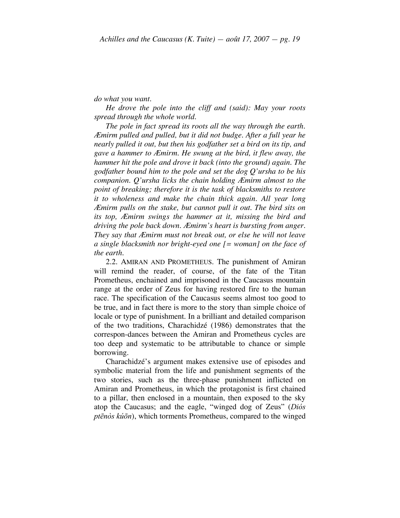*do what you want.*

*He drove the pole into the cliff and (said): May your roots spread through the whole world.*

*The pole in fact spread its roots all the way through the earth. Æmirm pulled and pulled, but it did not budge. After a full year he nearly pulled it out, but then his godfather set a bird on its tip, and gave a hammer to Æmirm. He swung at the bird, it flew away, the hammer hit the pole and drove it back (into the ground) again. The godfather bound him to the pole and set the dog Q'ursha to be his companion. Q'ursha licks the chain holding Æmirm almost to the point of breaking; therefore it is the task of blacksmiths to restore it to wholeness and make the chain thick again. All year long Æmirm pulls on the stake, but cannot pull it out. The bird sits on its top, Æmirm swings the hammer at it, missing the bird and driving the pole back down. Æmirm's heart is bursting from anger. They say that Æmirm must not break out, or else he will not leave a single blacksmith nor bright-eyed one [= woman] on the face of the earth.*

2.2. AMIRAN AND PROMETHEUS. The punishment of Amiran will remind the reader, of course, of the fate of the Titan Prometheus, enchained and imprisoned in the Caucasus mountain range at the order of Zeus for having restored fire to the human race. The specification of the Caucasus seems almost too good to be true, and in fact there is more to the story than simple choice of locale or type of punishment. In a brilliant and detailed comparison of the two traditions, Charachidzé (1986) demonstrates that the correspon-dances between the Amiran and Prometheus cycles are too deep and systematic to be attributable to chance or simple borrowing.

Charachidzé's argument makes extensive use of episodes and symbolic material from the life and punishment segments of the two stories, such as the three-phase punishment inflicted on Amiran and Prometheus, in which the protagonist is first chained to a pillar, then enclosed in a mountain, then exposed to the sky atop the Caucasus; and the eagle, "winged dog of Zeus" (*Diós ptēnòs kúōn*), which torments Prometheus, compared to the winged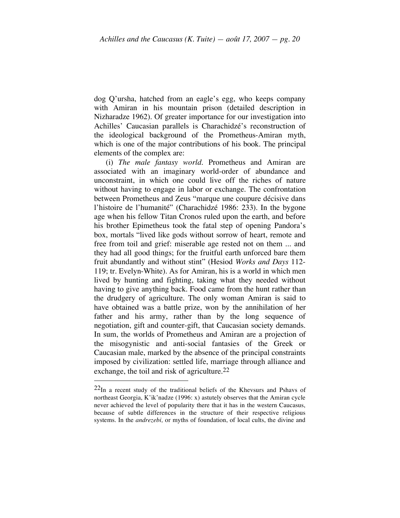dog Q'ursha, hatched from an eagle's egg, who keeps company with Amiran in his mountain prison (detailed description in Nizharadze 1962). Of greater importance for our investigation into Achilles' Caucasian parallels is Charachidzé's reconstruction of the ideological background of the Prometheus-Amiran myth, which is one of the major contributions of his book. The principal elements of the complex are:

(i) *The male fantasy world.* Prometheus and Amiran are associated with an imaginary world-order of abundance and unconstraint, in which one could live off the riches of nature without having to engage in labor or exchange. The confrontation between Prometheus and Zeus "marque une coupure décisive dans l'histoire de l'humanité" (Charachidzé 1986: 233). In the bygone age when his fellow Titan Cronos ruled upon the earth, and before his brother Epimetheus took the fatal step of opening Pandora's box, mortals "lived like gods without sorrow of heart, remote and free from toil and grief: miserable age rested not on them ... and they had all good things; for the fruitful earth unforced bare them fruit abundantly and without stint" (Hesiod *Works and Days* 112- 119; tr. Evelyn-White). As for Amiran, his is a world in which men lived by hunting and fighting, taking what they needed without having to give anything back. Food came from the hunt rather than the drudgery of agriculture. The only woman Amiran is said to have obtained was a battle prize, won by the annihilation of her father and his army, rather than by the long sequence of negotiation, gift and counter-gift, that Caucasian society demands. In sum, the worlds of Prometheus and Amiran are a projection of the misogynistic and anti-social fantasies of the Greek or Caucasian male, marked by the absence of the principal constraints imposed by civilization: settled life, marriage through alliance and exchange, the toil and risk of agriculture.<sup>22</sup>

 $22$ In a recent study of the traditional beliefs of the Khevsurs and Pshavs of northeast Georgia, K'ik'nadze (1996: x) astutely observes that the Amiran cycle never achieved the level of popularity there that it has in the western Caucasus, because of subtle differences in the structure of their respective religious systems. In the *andrezebi,* or myths of foundation, of local cults, the divine and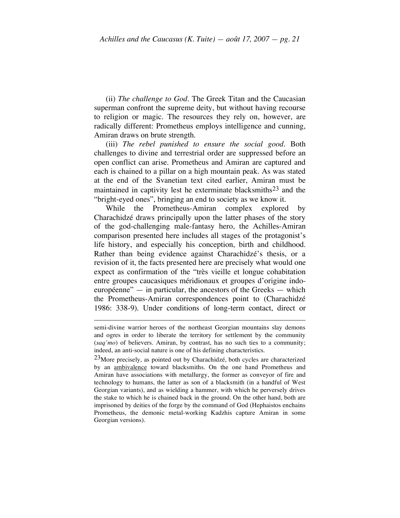(ii) *The challenge to God.* The Greek Titan and the Caucasian superman confront the supreme deity, but without having recourse to religion or magic. The resources they rely on, however, are radically different: Prometheus employs intelligence and cunning, Amiran draws on brute strength.

(iii) *The rebel punished to ensure the social good.* Both challenges to divine and terrestrial order are suppressed before an open conflict can arise. Prometheus and Amiran are captured and each is chained to a pillar on a high mountain peak. As was stated at the end of the Svanetian text cited earlier, Amiran must be maintained in captivity lest he exterminate blacksmiths<sup>23</sup> and the "bright-eyed ones", bringing an end to society as we know it.

While the Prometheus-Amiran complex explored by Charachidzé draws principally upon the latter phases of the story of the god-challenging male-fantasy hero, the Achilles-Amiran comparison presented here includes all stages of the protagonist's life history, and especially his conception, birth and childhood. Rather than being evidence against Charachidzé's thesis, or a revision of it, the facts presented here are precisely what would one expect as confirmation of the "très vieille et longue cohabitation entre groupes caucasiques méridionaux et groupes d'origine indoeuropéenne" — in particular, the ancestors of the Greeks — which the Prometheus-Amiran correspondences point to (Charachidzé 1986: 338-9). Under conditions of long-term contact, direct or

semi-divine warrior heroes of the northeast Georgian mountains slay demons and ogres in order to liberate the territory for settlement by the community (*saq'mo*) of believers. Amiran, by contrast, has no such ties to a community; indeed, an anti-social nature is one of his defining characteristics.

 $23$ More precisely, as pointed out by Charachidzé, both cycles are characterized by an ambivalence toward blacksmiths. On the one hand Prometheus and Amiran have associations with metallurgy, the former as conveyor of fire and technology to humans, the latter as son of a blacksmith (in a handful of West Georgian variants), and as wielding a hammer, with which he perversely drives the stake to which he is chained back in the ground. On the other hand, both are imprisoned by deities of the forge by the command of God (Hephaistos enchains Prometheus, the demonic metal-working Kadzhis capture Amiran in some Georgian versions).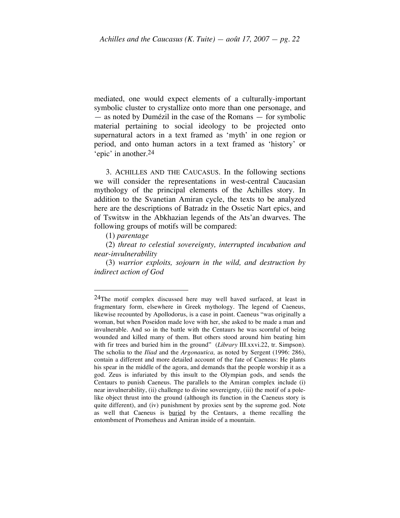mediated, one would expect elements of a culturally-important symbolic cluster to crystallize onto more than one personage, and — as noted by Dumézil in the case of the Romans — for symbolic material pertaining to social ideology to be projected onto supernatural actors in a text framed as 'myth' in one region or period, and onto human actors in a text framed as 'history' or 'epic' in another. 24

3. ACHILLES AND THE CAUCASUS. In the following sections we will consider the representations in west-central Caucasian mythology of the principal elements of the Achilles story. In addition to the Svanetian Amiran cycle, the texts to be analyzed here are the descriptions of Batradz in the Ossetic Nart epics, and of Tswitsw in the Abkhazian legends of the Ats'an dwarves. The following groups of motifs will be compared:

(1) *parentage*

(2) *threat to celestial sovereignty, interrupted incubation and near-invulnerability*

(3) *warrior exploits, sojourn in the wild, and destruction by indirect action of God*

 <sup>24</sup>The motif complex discussed here may well haved surfaced, at least in fragmentary form, elsewhere in Greek mythology. The legend of Caeneus, likewise recounted by Apollodorus, is a case in point. Caeneus "was originally a woman, but when Poseidon made love with her, she asked to be made a man and invulnerable. And so in the battle with the Centaurs he was scornful of being wounded and killed many of them. But others stood around him beating him with fir trees and buried him in the ground" (*Library* III.xxvi.22, tr. Simpson). The scholia to the *Iliad* and the *Argonautica,* as noted by Sergent (1996: 286), contain a different and more detailed account of the fate of Caeneus: He plants his spear in the middle of the agora, and demands that the people worship it as a god. Zeus is infuriated by this insult to the Olympian gods, and sends the Centaurs to punish Caeneus. The parallels to the Amiran complex include (i) near invulnerability, (ii) challenge to divine sovereignty, (iii) the motif of a polelike object thrust into the ground (although its function in the Caeneus story is quite different), and (iv) punishment by proxies sent by the supreme god. Note as well that Caeneus is buried by the Centaurs, a theme recalling the entombment of Prometheus and Amiran inside of a mountain.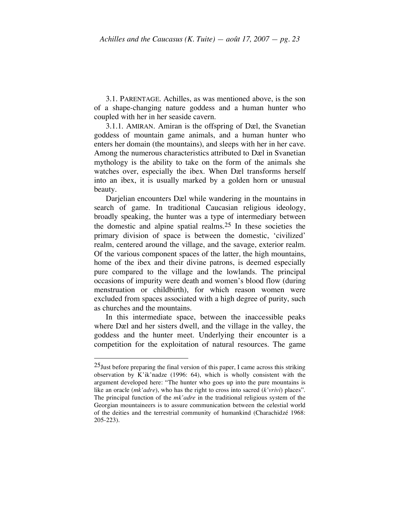3.1. PARENTAGE. Achilles, as was mentioned above, is the son of a shape-changing nature goddess and a human hunter who coupled with her in her seaside cavern.

3.1.1. AMIRAN. Amiran is the offspring of Dæl, the Svanetian goddess of mountain game animals, and a human hunter who enters her domain (the mountains), and sleeps with her in her cave. Among the numerous characteristics attributed to Dæl in Svanetian mythology is the ability to take on the form of the animals she watches over, especially the ibex. When Dæl transforms herself into an ibex, it is usually marked by a golden horn or unusual beauty.

Darjelian encounters Dæl while wandering in the mountains in search of game. In traditional Caucasian religious ideology, broadly speaking, the hunter was a type of intermediary between the domestic and alpine spatial realms. 25 In these societies the primary division of space is between the domestic, 'civilized' realm, centered around the village, and the savage, exterior realm. Of the various component spaces of the latter, the high mountains, home of the ibex and their divine patrons, is deemed especially pure compared to the village and the lowlands. The principal occasions of impurity were death and women's blood flow (during menstruation or childbirth), for which reason women were excluded from spaces associated with a high degree of purity, such as churches and the mountains.

In this intermediate space, between the inaccessible peaks where Dæl and her sisters dwell, and the village in the valley, the goddess and the hunter meet. Underlying their encounter is a competition for the exploitation of natural resources. The game

 $25$ Just before preparing the final version of this paper, I came across this striking observation by K'ik'nadze (1996: 64), which is wholly consistent with the argument developed here: "The hunter who goes up into the pure mountains is like an oracle (*mk'adre*), who has the right to cross into sacred (*k'vrivi*) places". The principal function of the *mk'adre* in the traditional religious system of the Georgian mountaineers is to assure communication between the celestial world of the deities and the terrestrial community of humankind (Charachidzé 1968: 205-223).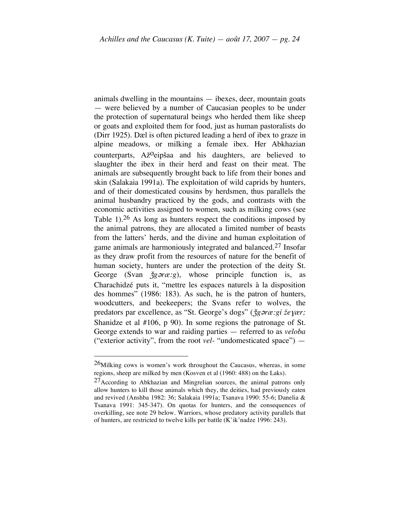animals dwelling in the mountains — ibexes, deer, mountain goats — were believed by a number of Caucasian peoples to be under the protection of supernatural beings who herded them like sheep or goats and exploited them for food, just as human pastoralists do (Dirr 1925). Dæl is often pictured leading a herd of ibex to graze in alpine meadows, or milking a female ibex. Her Abkhazian counterparts, Ažoeipšaa and his daughters, are believed to slaughter the ibex in their herd and feast on their meat. The animals are subsequently brought back to life from their bones and skin (Salakaia 1991a). The exploitation of wild caprids by hunters, and of their domesticated cousins by herdsmen, thus parallels the animal husbandry practiced by the gods, and contrasts with the economic activities assigned to women, such as milking cows (see Table 1).<sup>26</sup> As long as hunters respect the conditions imposed by the animal patrons, they are allocated a limited number of beasts from the latters' herds, and the divine and human exploitation of game animals are harmoniously integrated and balanced.<sup>27</sup> Insofar as they draw profit from the resources of nature for the benefit of human society, hunters are under the protection of the deity St. George (Svan  $\check{\jmath}g$ *oræ:g*), whose principle function is, as Charachidzé puts it, "mettre les espaces naturels à la disposition des hommes" (1986: 183). As such, he is the patron of hunters, woodcutters, and beekeepers; the Svans refer to wolves, the predators par excellence, as "St. George's dogs" ( $\zeta$ *g* $\zeta$ *ræ:gi ževær;* Shanidze et al #106, p 90). In some regions the patronage of St. George extends to war and raiding parties — referred to as *veloba* ("exterior activity", from the root *vel-* "undomesticated space") —

 $^{26}$ Milking cows is women's work throughout the Caucasus, whereas, in some regions, sheep are milked by men (Kosven et al (1960: 488) on the Laks).

<sup>27</sup>According to Abkhazian and Mingrelian sources, the animal patrons only allow hunters to kill those animals which they, the deities, had previously eaten and revived (Anshba 1982: 36; Salakaia 1991a; Tsanava 1990: 55-6; Danelia & Tsanava 1991: 345-347). On quotas for hunters, and the consequences of overkilling, see note 29 below. Warriors, whose predatory activity parallels that of hunters, are restricted to twelve kills per battle (K'ik'nadze 1996: 243).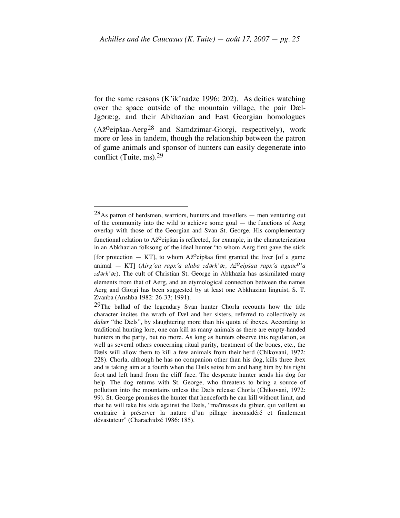for the same reasons (K'ik'nadze 1996: 202). As deities watching over the space outside of the mountain village, the pair Dæl-Jg $\sigma$ ræ:g, and their Abkhazian and East Georgian homologues (Ažoeipšaa-Aerg<sup>28</sup> and Samdzimar-Giorgi, respectively), work more or less in tandem, though the relationship between the patron of game animals and sponsor of hunters can easily degenerate into conflict (Tuite, ms). 29

 $28$ As patron of herdsmen, warriors, hunters and travellers — men venturing out of the community into the wild to achieve some goal — the functions of Aerg overlap with those of the Georgian and Svan St. George. His complementary functional relation to  $A\check{z}^{\mathbf{0}}$ eipšaa is reflected, for example, in the characterization in an Abkhazian folksong of the ideal hunter "to whom Aerg first gave the stick [for protection  $-$  KT], to whom Až<sup>o</sup>eipšaa first granted the liver [of a game animal — KT] (*Airg´aa rapx´a alaba zd*´*rk'*´*z, Ažoeipšaa rapx´a aguaco'a* zdərk'əz). The cult of Christian St. George in Abkhazia has assimilated many elements from that of Aerg, and an etymological connection between the names Aerg and Giorgi has been suggested by at least one Abkhazian linguist, S. T. Zvanba (Anshba 1982: 26-33; 1991).

 $29$ The ballad of the legendary Svan hunter Chorla recounts how the title character incites the wrath of Dæl and her sisters, referred to collectively as *dalær* "the Dæls", by slaughtering more than his quota of ibexes. According to traditional hunting lore, one can kill as many animals as there are empty-handed hunters in the party, but no more. As long as hunters observe this regulation, as well as several others concerning ritual purity, treatment of the bones, etc., the Dæls will allow them to kill a few animals from their herd (Chikovani, 1972: 228). Chorla, although he has no companion other than his dog, kills three ibex and is taking aim at a fourth when the Dæls seize him and hang him by his right foot and left hand from the cliff face. The desperate hunter sends his dog for help. The dog returns with St. George, who threatens to bring a source of pollution into the mountains unless the Dæls release Chorla (Chikovani, 1972: 99). St. George promises the hunter that henceforth he can kill without limit, and that he will take his side against the Dæls, "maîtresses du gibier, qui veillent au contraire à préserver la nature d'un pillage inconsidéré et finalement dévastateur" (Charachidzé 1986: 185).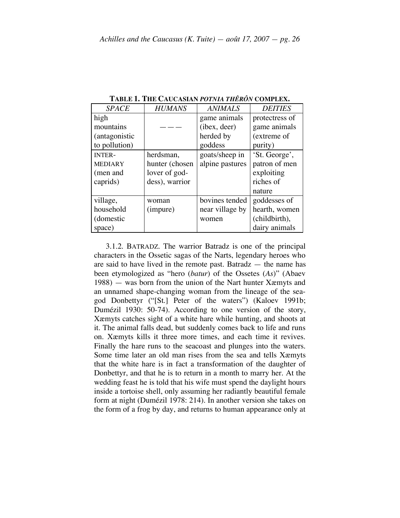| <b>SPACE</b>   | <b>HUMANS</b>  | <b>ANIMALS</b>  | <b>DEITIES</b> |
|----------------|----------------|-----------------|----------------|
| high           |                | game animals    | protectress of |
| mountains      |                | (ibex, deer)    | game animals   |
| (antagonistic  |                | herded by       | (extreme of    |
| to pollution)  |                | goddess         | purity)        |
| <b>INTER-</b>  | herdsman,      | goats/sheep in  | 'St. George',  |
| <b>MEDIARY</b> | hunter (chosen | alpine pastures | patron of men  |
| (men and       | lover of god-  |                 | exploiting     |
| caprids)       | dess), warrior |                 | riches of      |
|                |                |                 | nature         |
| village,       | woman          | bovines tended  | goddesses of   |
| household      | (impure)       | near village by | hearth, women  |
| (domestic      |                | women           | (childbirth),  |
| space)         |                |                 | dairy animals  |

**TABLE 1. THE CAUCASIAN** *POTNIA THÊRÔN* **COMPLEX.**

3.1.2. BATRADZ. The warrior Batradz is one of the principal characters in the Ossetic sagas of the Narts, legendary heroes who are said to have lived in the remote past. Batradz — the name has been etymologized as "hero (*batur*) of the Ossetes (*As*)" (Abaev 1988) — was born from the union of the Nart hunter Xæmyts and an unnamed shape-changing woman from the lineage of the seagod Donbettyr ("[St.] Peter of the waters") (Kaloev 1991b; Dumézil 1930: 50-74). According to one version of the story, Xæmyts catches sight of a white hare while hunting, and shoots at it. The animal falls dead, but suddenly comes back to life and runs on. Xæmyts kills it three more times, and each time it revives. Finally the hare runs to the seacoast and plunges into the waters. Some time later an old man rises from the sea and tells Xæmyts that the white hare is in fact a transformation of the daughter of Donbettyr, and that he is to return in a month to marry her. At the wedding feast he is told that his wife must spend the daylight hours inside a tortoise shell, only assuming her radiantly beautiful female form at night (Dumézil 1978: 214). In another version she takes on the form of a frog by day, and returns to human appearance only at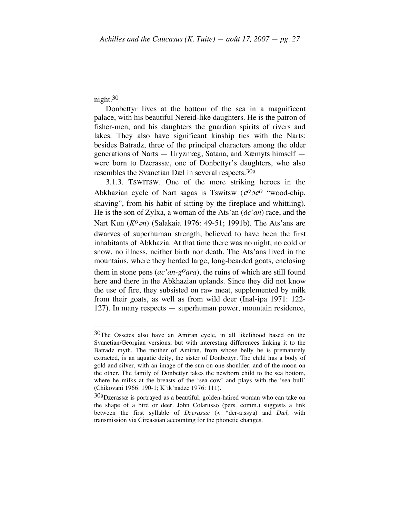# night. 30

Donbettyr lives at the bottom of the sea in a magnificent palace, with his beautiful Nereid-like daughters. He is the patron of fisher-men, and his daughters the guardian spirits of rivers and lakes. They also have significant kinship ties with the Narts: besides Batradz, three of the principal characters among the older generations of Narts — Uryzmæg, Satana, and Xæmyts himself were born to Dzerassæ, one of Donbettyr's daughters, who also resembles the Svanetian Dæl in several respects. 30a

3.1.3. TSWITSW. One of the more striking heroes in the Abkhazian cycle of Nart sagas is Tswitsw ( $c^O\partial c^O$  "wood-chip, shaving", from his habit of sitting by the fireplace and whittling). He is the son of Zylxa, a woman of the Ats'an (*ác'an*) race, and the Nart Kun (*K<sup>O</sup>on*) (Salakaia 1976: 49-51; 1991b). The Ats'ans are dwarves of superhuman strength, believed to have been the first inhabitants of Abkhazia. At that time there was no night, no cold or snow, no illness, neither birth nor death. The Ats'ans lived in the mountains, where they herded large, long-bearded goats, enclosing them in stone pens ( $ac'an-g<sup>o</sup>ara$ ), the ruins of which are still found here and there in the Abkhazian uplands. Since they did not know the use of fire, they subsisted on raw meat, supplemented by milk from their goats, as well as from wild deer (Inal-ipa 1971: 122- 127). In many respects — superhuman power, mountain residence,

 <sup>30</sup>The Ossetes also have an Amiran cycle, in all likelihood based on the Svanetian/Georgian versions, but with interesting differences linking it to the Batradz myth. The mother of Amiran, from whose belly he is prematurely extracted, is an aquatic deity, the sister of Donbettyr. The child has a body of gold and silver, with an image of the sun on one shoulder, and of the moon on the other. The family of Donbettyr takes the newborn child to the sea bottom, where he milks at the breasts of the 'sea cow' and plays with the 'sea bull' (Chikovani 1966: 190-1; K'ik'nadze 1976: 111).

<sup>30</sup>aDzerassæ is portrayed as a beautiful, golden-haired woman who can take on the shape of a bird or deer. John Colarusso (pers. comm.) suggests a link between the first syllable of *Dzerassæ* (< \*der-a:ssya) and *Dæl,* with transmission via Circassian accounting for the phonetic changes.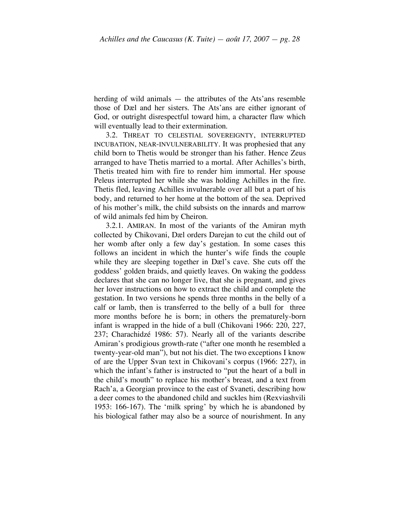herding of wild animals — the attributes of the Ats'ans resemble those of Dæl and her sisters. The Ats'ans are either ignorant of God, or outright disrespectful toward him, a character flaw which will eventually lead to their extermination.

3.2. THREAT TO CELESTIAL SOVEREIGNTY, INTERRUPTED INCUBATION, NEAR-INVULNERABILITY. It was prophesied that any child born to Thetis would be stronger than his father. Hence Zeus arranged to have Thetis married to a mortal. After Achilles's birth, Thetis treated him with fire to render him immortal. Her spouse Peleus interrupted her while she was holding Achilles in the fire. Thetis fled, leaving Achilles invulnerable over all but a part of his body, and returned to her home at the bottom of the sea. Deprived of his mother's milk, the child subsists on the innards and marrow of wild animals fed him by Cheiron.

3.2.1. AMIRAN. In most of the variants of the Amiran myth collected by Chikovani, Dæl orders Darejan to cut the child out of her womb after only a few day's gestation. In some cases this follows an incident in which the hunter's wife finds the couple while they are sleeping together in Dæl's cave. She cuts off the goddess' golden braids, and quietly leaves. On waking the goddess declares that she can no longer live, that she is pregnant, and gives her lover instructions on how to extract the child and complete the gestation. In two versions he spends three months in the belly of a calf or lamb, then is transferred to the belly of a bull for three more months before he is born; in others the prematurely-born infant is wrapped in the hide of a bull (Chikovani 1966: 220, 227, 237; Charachidzé 1986: 57). Nearly all of the variants describe Amiran's prodigious growth-rate ("after one month he resembled a twenty-year-old man"), but not his diet. The two exceptions I know of are the Upper Svan text in Chikovani's corpus (1966: 227), in which the infant's father is instructed to "put the heart of a bull in the child's mouth" to replace his mother's breast, and a text from Rach'a, a Georgian province to the east of Svaneti, describing how a deer comes to the abandoned child and suckles him (Rexviashvili 1953: 166-167). The 'milk spring' by which he is abandoned by his biological father may also be a source of nourishment. In any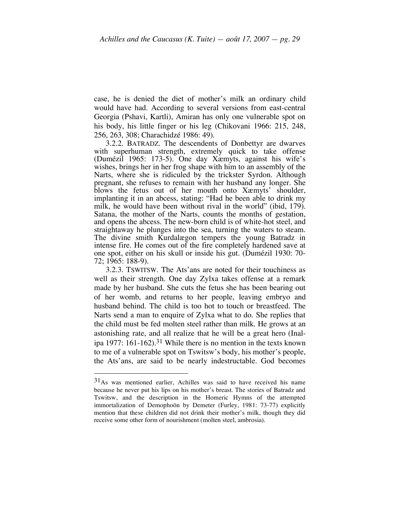case, he is denied the diet of mother's milk an ordinary child would have had. According to several versions from east-central Georgia (Pshavi, Kartli), Amiran has only one vulnerable spot on his body, his little finger or his leg (Chikovani 1966: 215, 248, 256, 263, 308; Charachidzé 1986: 49).

3.2.2. BATRADZ. The descendents of Donbettyr are dwarves with superhuman strength, extremely quick to take offense (Dumézil 1965: 173-5). One day Xæmyts, against his wife's wishes, brings her in her frog shape with him to an assembly of the Narts, where she is ridiculed by the trickster Syrdon. Although pregnant, she refuses to remain with her husband any longer. She blows the fetus out of her mouth onto Xæmyts' shoulder, implanting it in an abcess, stating: "Had he been able to drink my milk, he would have been without rival in the world" (ibid, 179). Satana, the mother of the Narts, counts the months of gestation, and opens the abcess. The new-born child is of white-hot steel, and straight<br>away he plunges into the sea, turning the waters to steam. The divine smith Kurdalægon tempers the young Batradz in intense fire. He comes out of the fire completely hardened save at one spot, either on his skull or inside his gut. (Dumézil 1930: 70- 72; 1965: 188-9).

3.2.3. TSWITSW. The Ats'ans are noted for their touchiness as well as their strength. One day Zylxa takes offense at a remark made by her husband. She cuts the fetus she has been bearing out of her womb, and returns to her people, leaving embryo and husband behind. The child is too hot to touch or breastfeed. The Narts send a man to enquire of Zylxa what to do. She replies that the child must be fed molten steel rather than milk. He grows at an astonishing rate, and all realize that he will be a great hero (Inalipa 1977: 161-162). 31 While there is no mention in the texts known to me of a vulnerable spot on Tswitsw's body, his mother's people, the Ats'ans, are said to be nearly indestructable. God becomes

 <sup>31</sup>As was mentioned earlier, Achilles was said to have received his name because he never put his lips on his mother's breast. The stories of Batradz and Tswitsw, and the description in the Homeric Hymns of the attempted immortalization of Demophoön by Demeter (Furley, 1981: 73-77) explicitly mention that these children did not drink their mother's milk, though they did receive some other form of nourishment (molten steel, ambrosia).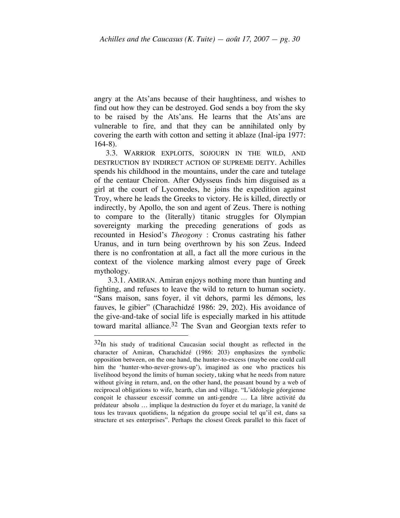angry at the Ats'ans because of their haughtiness, and wishes to find out how they can be destroyed. God sends a boy from the sky to be raised by the Ats'ans. He learns that the Ats'ans are vulnerable to fire, and that they can be annihilated only by covering the earth with cotton and setting it ablaze (Inal-ipa 1977: 164-8).

3.3. WARRIOR EXPLOITS, SOJOURN IN THE WILD, AND DESTRUCTION BY INDIRECT ACTION OF SUPREME DEITY. Achilles spends his childhood in the mountains, under the care and tutelage of the centaur Cheiron. After Odysseus finds him disguised as a girl at the court of Lycomedes, he joins the expedition against Troy, where he leads the Greeks to victory. He is killed, directly or indirectly, by Apollo, the son and agent of Zeus. There is nothing to compare to the (literally) titanic struggles for Olympian sovereignty marking the preceding generations of gods as recounted in Hesiod's *Theogony* : Cronus castrating his father Uranus, and in turn being overthrown by his son Zeus. Indeed there is no confrontation at all, a fact all the more curious in the context of the violence marking almost every page of Greek mythology.

3.3.1. AMIRAN. Amiran enjoys nothing more than hunting and fighting, and refuses to leave the wild to return to human society. "Sans maison, sans foyer, il vit dehors, parmi les démons, les fauves, le gibier" (Charachidzé 1986: 29, 202). His avoidance of the give-and-take of social life is especially marked in his attitude toward marital alliance.<sup>32</sup> The Svan and Georgian texts refer to

 <sup>32</sup>In his study of traditional Caucasian social thought as reflected in the character of Amiran, Charachidzé (1986: 203) emphasizes the symbolic opposition between, on the one hand, the hunter-to-excess (maybe one could call him the 'hunter-who-never-grows-up'), imagined as one who practices his livelihood beyond the limits of human society, taking what he needs from nature without giving in return, and, on the other hand, the peasant bound by a web of reciprocal obligations to wife, hearth, clan and village. "L'idéologie géorgienne conçoit le chasseur excessif comme un anti-gendre … La libre activité du prédateur absolu … implique la destruction du foyer et du mariage, la vanité de tous les travaux quotidiens, la négation du groupe social tel qu'il est, dans sa structure et ses enterprises". Perhaps the closest Greek parallel to this facet of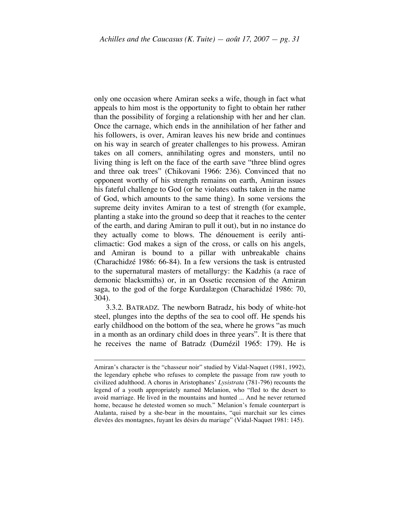only one occasion where Amiran seeks a wife, though in fact what appeals to him most is the opportunity to fight to obtain her rather than the possibility of forging a relationship with her and her clan. Once the carnage, which ends in the annihilation of her father and his followers, is over, Amiran leaves his new bride and continues on his way in search of greater challenges to his prowess. Amiran takes on all comers, annihilating ogres and monsters, until no living thing is left on the face of the earth save "three blind ogres and three oak trees" (Chikovani 1966: 236). Convinced that no opponent worthy of his strength remains on earth, Amiran issues his fateful challenge to God (or he violates oaths taken in the name of God, which amounts to the same thing). In some versions the supreme deity invites Amiran to a test of strength (for example, planting a stake into the ground so deep that it reaches to the center of the earth, and daring Amiran to pull it out), but in no instance do they actually come to blows. The dénouement is eerily anticlimactic: God makes a sign of the cross, or calls on his angels, and Amiran is bound to a pillar with unbreakable chains (Charachidzé 1986: 66-84). In a few versions the task is entrusted to the supernatural masters of metallurgy: the Kadzhis (a race of demonic blacksmiths) or, in an Ossetic recension of the Amiran saga, to the god of the forge Kurdalægon (Charachidzé 1986: 70, 304).

3.3.2. BATRADZ. The newborn Batradz, his body of white-hot steel, plunges into the depths of the sea to cool off. He spends his early childhood on the bottom of the sea, where he grows "as much in a month as an ordinary child does in three years". It is there that he receives the name of Batradz (Dumézil 1965: 179). He is

Amiran's character is the "chasseur noir" studied by Vidal-Naquet (1981, 1992), the legendary ephebe who refuses to complete the passage from raw youth to civilized adulthood. A chorus in Aristophanes' *Lysistrata* (781-796) recounts the legend of a youth appropriately named Melanion, who "fled to the desert to avoid marriage. He lived in the mountains and hunted ... And he never returned home, because he detested women so much." Melanion's female counterpart is Atalanta, raised by a she-bear in the mountains, "qui marchait sur les cimes élevées des montagnes, fuyant les désirs du mariage" (Vidal-Naquet 1981: 145).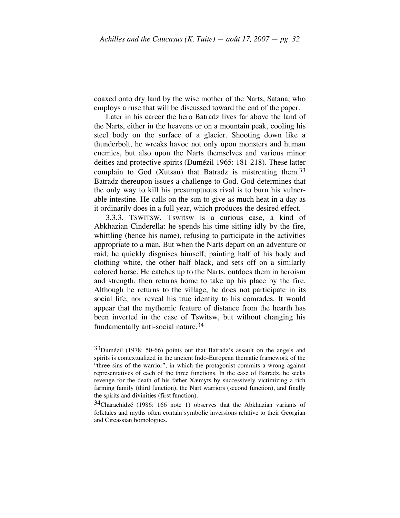coaxed onto dry land by the wise mother of the Narts, Satana, who employs a ruse that will be discussed toward the end of the paper.

Later in his career the hero Batradz lives far above the land of the Narts, either in the heavens or on a mountain peak, cooling his steel body on the surface of a glacier. Shooting down like a thunderbolt, he wreaks havoc not only upon monsters and human enemies, but also upon the Narts themselves and various minor deities and protective spirits (Dumézil 1965: 181-218). These latter complain to God (Xutsau) that Batradz is mistreating them.<sup>33</sup> Batradz thereupon issues a challenge to God. God determines that the only way to kill his presumptuous rival is to burn his vulnerable intestine. He calls on the sun to give as much heat in a day as it ordinarily does in a full year, which produces the desired effect.

3.3.3. TSWITSW. Tswitsw is a curious case, a kind of Abkhazian Cinderella: he spends his time sitting idly by the fire, whittling (hence his name), refusing to participate in the activities appropriate to a man. But when the Narts depart on an adventure or raid, he quickly disguises himself, painting half of his body and clothing white, the other half black, and sets off on a similarly colored horse. He catches up to the Narts, outdoes them in heroism and strength, then returns home to take up his place by the fire. Although he returns to the village, he does not participate in its social life, nor reveal his true identity to his comrades. It would appear that the mythemic feature of distance from the hearth has been inverted in the case of Tswitsw, but without changing his fundamentally anti-social nature. 34

<sup>33</sup>Dumézil (1978: 50-66) points out that Batradz's assault on the angels and spirits is contextualized in the ancient Indo-European thematic framework of the "three sins of the warrior", in which the protagonist commits a wrong against representatives of each of the three functions. In the case of Batradz, he seeks revenge for the death of his father Xæmyts by successively victimizing a rich farming family (third function), the Nart warriors (second function), and finally the spirits and divinities (first function).

<sup>34</sup>Charachidzé (1986: 166 note 1) observes that the Abkhazian variants of folktales and myths often contain symbolic inversions relative to their Georgian and Circassian homologues.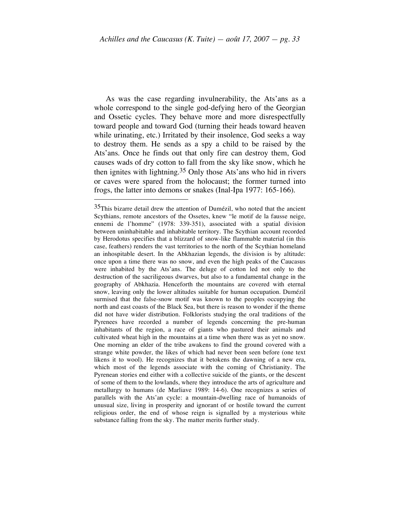As was the case regarding invulnerability, the Ats'ans as a whole correspond to the single god-defying hero of the Georgian and Ossetic cycles. They behave more and more disrespectfully toward people and toward God (turning their heads toward heaven while urinating, etc.) Irritated by their insolence, God seeks a way to destroy them. He sends as a spy a child to be raised by the Ats'ans. Once he finds out that only fire can destroy them, God causes wads of dry cotton to fall from the sky like snow, which he then ignites with lightning. 35 Only those Ats'ans who hid in rivers or caves were spared from the holocaust; the former turned into frogs, the latter into demons or snakes (Inal-Ipa 1977: 165-166).

<sup>&</sup>lt;sup>35</sup>This bizarre detail drew the attention of Dumézil, who noted that the ancient Scythians, remote ancestors of the Ossetes, knew "le motif de la fausse neige, ennemi de l'homme" (1978: 339-351), associated with a spatial division between uninhabitable and inhabitable territory. The Scythian account recorded by Herodotus specifies that a blizzard of snow-like flammable material (in this case, feathers) renders the vast territories to the north of the Scythian homeland an inhospitable desert. In the Abkhazian legends, the division is by altitude: once upon a time there was no snow, and even the high peaks of the Caucasus were inhabited by the Ats'ans. The deluge of cotton led not only to the destruction of the sacriligeous dwarves, but also to a fundamental change in the geography of Abkhazia. Henceforth the mountains are covered with eternal snow, leaving only the lower altitudes suitable for human occupation. Dumézil surmised that the false-snow motif was known to the peoples occupying the north and east coasts of the Black Sea, but there is reason to wonder if the theme did not have wider distribution. Folklorists studying the oral traditions of the Pyrenees have recorded a number of legends concerning the pre-human inhabitants of the region, a race of giants who pastured their animals and cultivated wheat high in the mountains at a time when there was as yet no snow. One morning an elder of the tribe awakens to find the ground covered with a strange white powder, the likes of which had never been seen before (one text likens it to wool). He recognizes that it betokens the dawning of a new era, which most of the legends associate with the coming of Christianity. The Pyrenean stories end either with a collective suicide of the giants, or the descent of some of them to the lowlands, where they introduce the arts of agriculture and metallurgy to humans (de Marliave 1989: 14-6). One recognizes a series of parallels with the Ats'an cycle: a mountain-dwelling race of humanoids of unusual size, living in prosperity and ignorant of or hostile toward the current religious order, the end of whose reign is signalled by a mysterious white substance falling from the sky. The matter merits further study.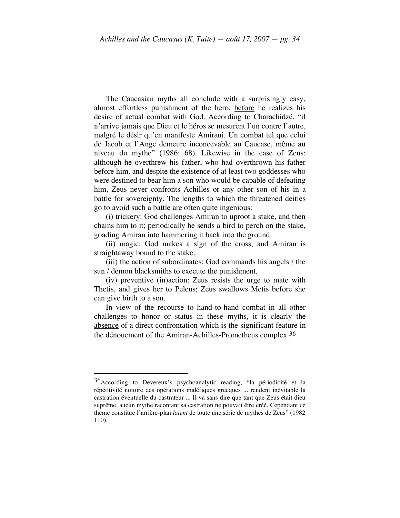The Caucasian myths all conclude with a surprisingly easy, almost effortless punishment of the hero, before he realizes his desire of actual combat with God. According to Charachidzé, "il n'arrive jamais que Dieu et le héros se mesurent l'un contre l'autre, malgré le désir qu'en manifeste Amirani. Un combat tel que celui de Jacob et l'Ange demeure inconcevable au Caucase, même au niveau du mythe" (1986: 68). Likewise in the case of Zeus: although he overthrew his father, who had overthrown his father before him, and despite the existence of at least two goddesses who were destined to bear him a son who would be capable of defeating him, Zeus never confronts Achilles or any other son of his in a battle for sovereignty. The lengths to which the threatened deities go to avoid such a battle are often quite ingenious:

(i) trickery: God challenges Amiran to uproot a stake, and then chains him to it; periodically he sends a bird to perch on the stake, goading Amiran into hammering it back into the ground.

(ii) magic: God makes a sign of the cross, and Amiran is straightaway bound to the stake.

(iii) the action of subordinates: God commands his angels / the sun / demon blacksmiths to execute the punishment.

(iv) preventive (in)action: Zeus resists the urge to mate with Thetis, and gives her to Peleus; Zeus swallows Metis before she can give birth to a son.

In view of the recourse to hand-to-hand combat in all other challenges to honor or status in these myths, it is clearly the absence of a direct confrontation which is the significant feature in the dénouement of the Amiran-Achilles-Prometheus complex.36

 <sup>36</sup>According to Devereux's psychoanalytic reading, "la périodicité et la répétitivité notoire des opérations maléfiques grecques ... rendent inévitable la castration éventuelle du castrateur ... Il va sans dire que tant que Zeus était dieu suprême, aucun mythe racontant sa castration ne pouvait être créé. Cependant ce thème constitue l'arrière-plan *latent* de toute une série de mythes de Zeus" (1982 110).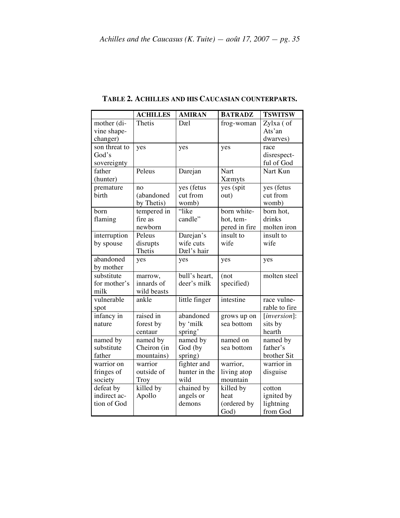|                                          | <b>ACHILLES</b>                       | <b>AMIRAN</b>                        | <b>BATRADZ</b>                            | <b>TSWITSW</b>                                |
|------------------------------------------|---------------------------------------|--------------------------------------|-------------------------------------------|-----------------------------------------------|
| mother (di-<br>vine shape-<br>changer)   | Thetis                                | Dæl                                  | frog-woman                                | Zylxa (of<br>Ats'an<br>dwarves)               |
| son threat to<br>God's<br>sovereignty    | yes                                   | yes                                  | yes                                       | race<br>disrespect-<br>ful of God             |
| father<br>(hunter)                       | Peleus                                | Darejan                              | Nart<br>Xæmyts                            | Nart Kun                                      |
| premature<br>birth                       | no<br>(abandoned<br>by Thetis)        | yes (fetus<br>cut from<br>womb)      | yes (spit<br>out)                         | yes (fetus<br>cut from<br>womb)               |
| born<br>flaming                          | tempered in<br>fire as<br>newborn     | "like<br>candle"                     | born white-<br>hot, tem-<br>pered in fire | born hot,<br>drinks<br>molten iron            |
| interruption<br>by spouse                | Peleus<br>disrupts<br>Thetis          | Darejan's<br>wife cuts<br>Dæl's hair | insult to<br>wife                         | insult to<br>wife                             |
| abandoned<br>by mother                   | yes                                   | yes                                  | yes                                       | yes                                           |
| substitute<br>for mother's<br>milk       | marrow,<br>innards of<br>wild beasts  | bull's heart,<br>deer's milk         | (not)<br>specified)                       | molten steel                                  |
| vulnerable<br>spot                       | ankle                                 | little finger                        | intestine                                 | race vulne-<br>rable to fire                  |
| infancy in<br>nature                     | raised in<br>forest by<br>centaur     | abandoned<br>by 'milk<br>spring'     | grows up on<br>sea bottom                 | $[inversion]$ :<br>sits by<br>hearth          |
| named by<br>substitute<br>father         | named by<br>Cheiron (in<br>mountains) | named by<br>God (by<br>spring)       | named on<br>sea bottom                    | named by<br>father's<br>brother Sit           |
| warrior on<br>fringes of<br>society      | warrior<br>outside of<br>Troy         | fighter and<br>hunter in the<br>wild | warrior,<br>living atop<br>mountain       | warrior in<br>disguise                        |
| defeat by<br>indirect ac-<br>tion of God | killed by<br>Apollo                   | chained by<br>angels or<br>demons    | killed by<br>heat<br>(ordered by<br>God)  | cotton<br>ignited by<br>lightning<br>from God |

**TABLE 2. ACHILLES AND HIS CAUCASIAN COUNTERPARTS.**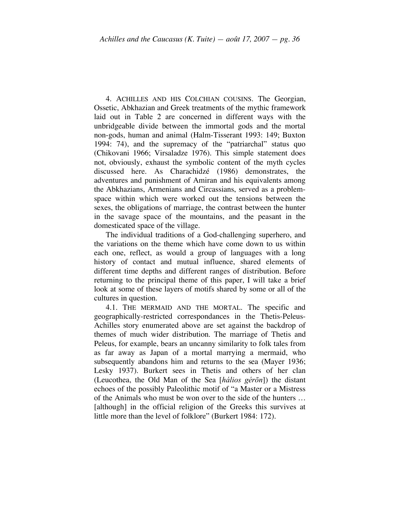4. ACHILLES AND HIS COLCHIAN COUSINS. The Georgian, Ossetic, Abkhazian and Greek treatments of the mythic framework laid out in Table 2 are concerned in different ways with the unbridgeable divide between the immortal gods and the mortal non-gods, human and animal (Halm-Tisserant 1993: 149; Buxton 1994: 74), and the supremacy of the "patriarchal" status quo (Chikovani 1966; Virsaladze 1976). This simple statement does not, obviously, exhaust the symbolic content of the myth cycles discussed here. As Charachidzé (1986) demonstrates, the adventures and punishment of Amiran and his equivalents among the Abkhazians, Armenians and Circassians, served as a problemspace within which were worked out the tensions between the sexes, the obligations of marriage, the contrast between the hunter in the savage space of the mountains, and the peasant in the domesticated space of the village.

The individual traditions of a God-challenging superhero, and the variations on the theme which have come down to us within each one, reflect, as would a group of languages with a long history of contact and mutual influence, shared elements of different time depths and different ranges of distribution. Before returning to the principal theme of this paper, I will take a brief look at some of these layers of motifs shared by some or all of the cultures in question.

4.1. THE MERMAID AND THE MORTAL. The specific and geographically-restricted correspondances in the Thetis-Peleus-Achilles story enumerated above are set against the backdrop of themes of much wider distribution. The marriage of Thetis and Peleus, for example, bears an uncanny similarity to folk tales from as far away as Japan of a mortal marrying a mermaid, who subsequently abandons him and returns to the sea (Mayer 1936; Lesky 1937). Burkert sees in Thetis and others of her clan (Leucothea, the Old Man of the Sea [*hálios gérōn*]) the distant echoes of the possibly Paleolithic motif of "a Master or a Mistress of the Animals who must be won over to the side of the hunters … [although] in the official religion of the Greeks this survives at little more than the level of folklore" (Burkert 1984: 172).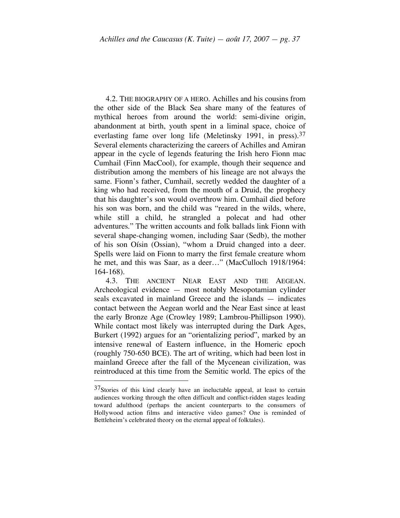4.2. THE BIOGRAPHY OF A HERO. Achilles and his cousins from the other side of the Black Sea share many of the features of mythical heroes from around the world: semi-divine origin, abandonment at birth, youth spent in a liminal space, choice of everlasting fame over long life (Meletinsky 1991, in press).<sup>37</sup> Several elements characterizing the careers of Achilles and Amiran appear in the cycle of legends featuring the Irish hero Fionn mac Cumhail (Finn MacCool), for example, though their sequence and distribution among the members of his lineage are not always the same. Fionn's father, Cumhail, secretly wedded the daughter of a king who had received, from the mouth of a Druid, the prophecy that his daughter's son would overthrow him. Cumhail died before his son was born, and the child was "reared in the wilds, where, while still a child, he strangled a polecat and had other adventures." The written accounts and folk ballads link Fionn with several shape-changing women, including Saar (Sedb), the mother of his son Oísin (Ossian), "whom a Druid changed into a deer. Spells were laid on Fionn to marry the first female creature whom he met, and this was Saar, as a deer..." (MacCulloch 1918/1964: 164-168).

4.3. THE ANCIENT NEAR EAST AND THE AEGEAN. Archeological evidence — most notably Mesopotamian cylinder seals excavated in mainland Greece and the islands — indicates contact between the Aegean world and the Near East since at least the early Bronze Age (Crowley 1989; Lambrou-Phillipson 1990). While contact most likely was interrupted during the Dark Ages, Burkert (1992) argues for an "orientalizing period", marked by an intensive renewal of Eastern influence, in the Homeric epoch (roughly 750-650 BCE). The art of writing, which had been lost in mainland Greece after the fall of the Mycenean civilization, was reintroduced at this time from the Semitic world. The epics of the

<sup>&</sup>lt;sup>37</sup>Stories of this kind clearly have an ineluctable appeal, at least to certain audiences working through the often difficult and conflict-ridden stages leading toward adulthood (perhaps the ancient counterparts to the consumers of Hollywood action films and interactive video games? One is reminded of Bettleheim's celebrated theory on the eternal appeal of folktales).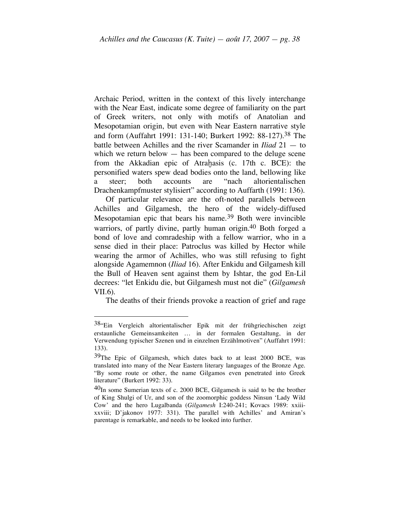Archaic Period, written in the context of this lively interchange with the Near East, indicate some degree of familiarity on the part of Greek writers, not only with motifs of Anatolian and Mesopotamian origin, but even with Near Eastern narrative style and form (Auffahrt 1991: 131-140; Burkert 1992: 88-127). 38 The battle between Achilles and the river Scamander in *Iliad* 21 — to which we return below  $-$  has been compared to the deluge scene from the Akkadian epic of Atrahasis (c. 17th c. BCE): the personified waters spew dead bodies onto the land, bellowing like a steer; both accounts are "nach altorientalischen Drachenkampfmuster stylisiert" according to Auffarth (1991: 136).

Of particular relevance are the oft-noted parallels between Achilles and Gilgamesh, the hero of the widely-diffused Mesopotamian epic that bears his name.<sup>39</sup> Both were invincible warriors, of partly divine, partly human origin.<sup>40</sup> Both forged a bond of love and comradeship with a fellow warrior, who in a sense died in their place: Patroclus was killed by Hector while wearing the armor of Achilles, who was still refusing to fight alongside Agamemnon (*Iliad* 16). After Enkidu and Gilgamesh kill the Bull of Heaven sent against them by Ishtar, the god En-Lil decrees: "let Enkidu die, but Gilgamesh must not die" (*Gilgamesh* VII.6).

The deaths of their friends provoke a reaction of grief and rage

 <sup>38&</sup>quot;Ein Vergleich altorientalischer Epik mit der frühgriechischen zeigt erstaunliche Gemeinsamkeiten … in der formalen Gestaltung, in der Verwendung typischer Szenen und in einzelnen Erzählmotiven" (Auffahrt 1991: 133).

<sup>&</sup>lt;sup>39</sup>The Epic of Gilgamesh, which dates back to at least 2000 BCE, was translated into many of the Near Eastern literary languages of the Bronze Age. "By some route or other, the name Gilgamos even penetrated into Greek literature" (Burkert 1992: 33).

 $40<sub>In</sub>$  some Sumerian texts of c. 2000 BCE, Gilgamesh is said to be the brother of King Shulgi of Ur, and son of the zoomorphic goddess Ninsun 'Lady Wild Cow' and the hero Lugalbanda (*Gilgamesh* I:240-241; Kovacs 1989: xxiiixxviii; D'jakonov 1977: 331). The parallel with Achilles' and Amiran's parentage is remarkable, and needs to be looked into further.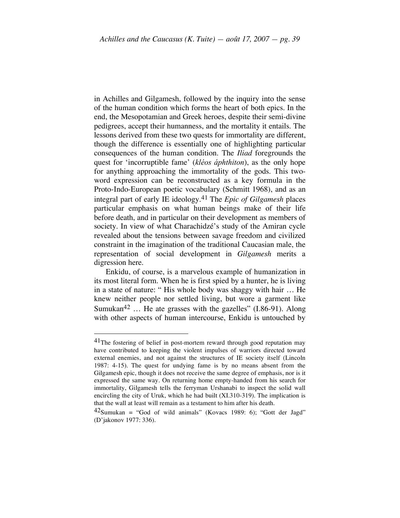in Achilles and Gilgamesh, followed by the inquiry into the sense of the human condition which forms the heart of both epics. In the end, the Mesopotamian and Greek heroes, despite their semi-divine pedigrees, accept their humanness, and the mortality it entails. The lessons derived from these two quests for immortality are different, though the difference is essentially one of highlighting particular consequences of the human condition. The *Iliad* foregrounds the quest for 'incorruptible fame' (*kléos áphthiton*), as the only hope for anything approaching the immortality of the gods. This twoword expression can be reconstructed as a key formula in the Proto-Indo-European poetic vocabulary (Schmitt 1968), and as an integral part of early IE ideology.41 The *Epic of Gilgamesh* places particular emphasis on what human beings make of their life before death, and in particular on their development as members of society. In view of what Charachidzé's study of the Amiran cycle revealed about the tensions between savage freedom and civilized constraint in the imagination of the traditional Caucasian male, the representation of social development in *Gilgamesh* merits a digression here.

Enkidu, of course, is a marvelous example of humanization in its most literal form. When he is first spied by a hunter, he is living in a state of nature: " His whole body was shaggy with hair … He knew neither people nor settled living, but wore a garment like Sumukan<sup>42</sup> ... He ate grasses with the gazelles"  $(1.86-91)$ . Along with other aspects of human intercourse, Enkidu is untouched by

 $11$ The fostering of belief in post-mortem reward through good reputation may have contributed to keeping the violent impulses of warriors directed toward external enemies, and not against the structures of IE society itself (Lincoln 1987: 4-15). The quest for undying fame is by no means absent from the Gilgamesh epic, though it does not receive the same degree of emphasis, nor is it expressed the same way. On returning home empty-handed from his search for immortality, Gilgamesh tells the ferryman Urshanabi to inspect the solid wall encircling the city of Uruk, which he had built (XI.310-319). The implication is that the wall at least will remain as a testament to him after his death.

 $42$ Sumukan = "God of wild animals" (Kovacs 1989: 6); "Gott der Jagd" (D'jakonov 1977: 336).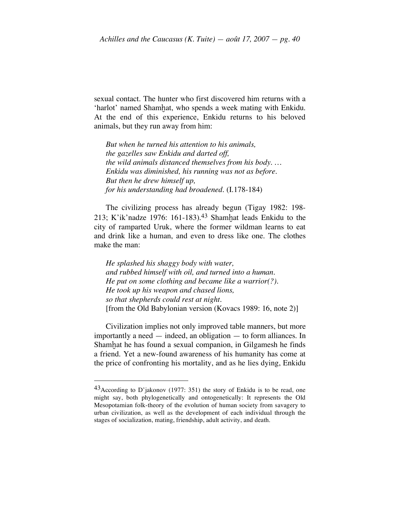sexual contact. The hunter who first discovered him returns with a 'harlot' named Shamḫat, who spends a week mating with Enkidu. At the end of this experience, Enkidu returns to his beloved animals, but they run away from him:

*But when he turned his attention to his animals, the gazelles saw Enkidu and darted off, the wild animals distanced themselves from his body. … Enkidu was diminished, his running was not as before. But then he drew himself up, for his understanding had broadened.* (I.178-184)

The civilizing process has already begun (Tigay 1982: 198- 213; K'ik'nadze 1976: 161-183). 43 Shamḫat leads Enkidu to the city of ramparted Uruk, where the former wildman learns to eat and drink like a human, and even to dress like one. The clothes make the man:

*He splashed his shaggy body with water, and rubbed himself with oil, and turned into a human. He put on some clothing and became like a warrior(?). He took up his weapon and chased lions, so that shepherds could rest at night.* [from the Old Babylonian version (Kovacs 1989: 16, note 2)]

Civilization implies not only improved table manners, but more importantly a need — indeed, an obligation — to form alliances. In Shamhat he has found a sexual companion, in Gilgamesh he finds a friend. Yet a new-found awareness of his humanity has come at the price of confronting his mortality, and as he lies dying, Enkidu

 <sup>43</sup>According to D'jakonov (1977: 351) the story of Enkidu is to be read, one might say, both phylogenetically and ontogenetically: It represents the Old Mesopotamian folk-theory of the evolution of human society from savagery to urban civilization, as well as the development of each individual through the stages of socialization, mating, friendship, adult activity, and death.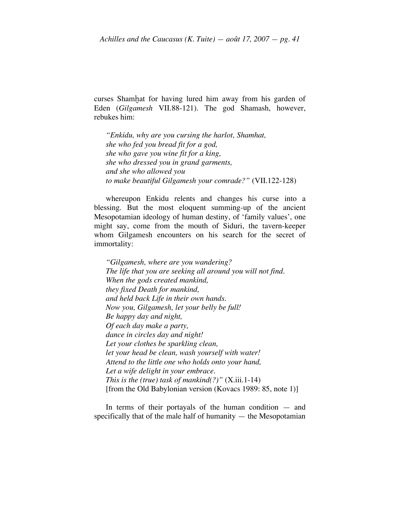curses Shamhat for having lured him away from his garden of Eden (*Gilgamesh* VII.88-121). The god Shamash, however, rebukes him:

*"Enkidu, why are you cursing the harlot, Shamhat, she who fed you bread fit for a god, she who gave you wine fit for a king, she who dressed you in grand garments, and she who allowed you to make beautiful Gilgamesh your comrade?"* (VII.122-128)

whereupon Enkidu relents and changes his curse into a blessing. But the most eloquent summing-up of the ancient Mesopotamian ideology of human destiny, of 'family values', one might say, come from the mouth of Siduri, the tavern-keeper whom Gilgamesh encounters on his search for the secret of immortality:

*"Gilgamesh, where are you wandering? The life that you are seeking all around you will not find. When the gods created mankind, they fixed Death for mankind, and held back Life in their own hands. Now you, Gilgamesh, let your belly be full! Be happy day and night, Of each day make a party, dance in circles day and night! Let your clothes be sparkling clean, let your head be clean, wash yourself with water! Attend to the little one who holds onto your hand, Let a wife delight in your embrace. This is the (true) task of mankind(?)"* (X.iii.1-14) [from the Old Babylonian version (Kovacs 1989: 85, note 1)]

In terms of their portayals of the human condition  $-$  and specifically that of the male half of humanity — the Mesopotamian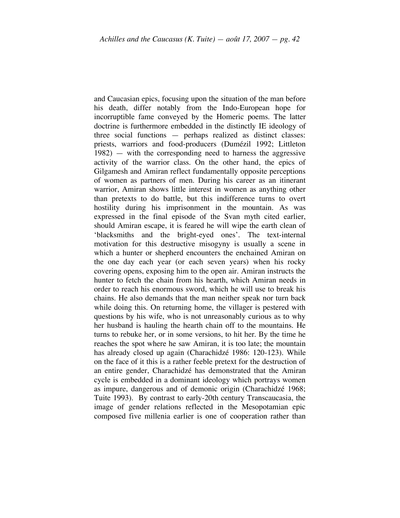and Caucasian epics, focusing upon the situation of the man before his death, differ notably from the Indo-European hope for incorruptible fame conveyed by the Homeric poems. The latter doctrine is furthermore embedded in the distinctly IE ideology of three social functions — perhaps realized as distinct classes: priests, warriors and food-producers (Dumézil 1992; Littleton 1982) — with the corresponding need to harness the aggressive activity of the warrior class. On the other hand, the epics of Gilgamesh and Amiran reflect fundamentally opposite perceptions of women as partners of men. During his career as an itinerant warrior, Amiran shows little interest in women as anything other than pretexts to do battle, but this indifference turns to overt hostility during his imprisonment in the mountain. As was expressed in the final episode of the Svan myth cited earlier, should Amiran escape, it is feared he will wipe the earth clean of 'blacksmiths and the bright-eyed ones'. The text-internal motivation for this destructive misogyny is usually a scene in which a hunter or shepherd encounters the enchained Amiran on the one day each year (or each seven years) when his rocky covering opens, exposing him to the open air. Amiran instructs the hunter to fetch the chain from his hearth, which Amiran needs in order to reach his enormous sword, which he will use to break his chains. He also demands that the man neither speak nor turn back while doing this. On returning home, the villager is pestered with questions by his wife, who is not unreasonably curious as to why her husband is hauling the hearth chain off to the mountains. He turns to rebuke her, or in some versions, to hit her. By the time he reaches the spot where he saw Amiran, it is too late; the mountain has already closed up again (Charachidzé 1986: 120-123). While on the face of it this is a rather feeble pretext for the destruction of an entire gender, Charachidzé has demonstrated that the Amiran cycle is embedded in a dominant ideology which portrays women as impure, dangerous and of demonic origin (Charachidzé 1968; Tuite 1993). By contrast to early-20th century Transcaucasia, the image of gender relations reflected in the Mesopotamian epic composed five millenia earlier is one of cooperation rather than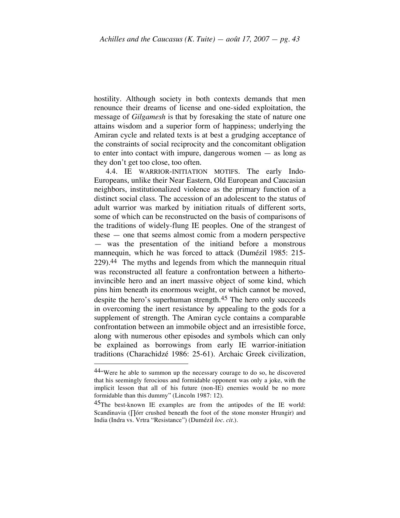hostility. Although society in both contexts demands that men renounce their dreams of license and one-sided exploitation, the message of *Gilgamesh* is that by foresaking the state of nature one attains wisdom and a superior form of happiness; underlying the Amiran cycle and related texts is at best a grudging acceptance of the constraints of social reciprocity and the concomitant obligation to enter into contact with impure, dangerous women — as long as they don't get too close, too often.

4.4. IE WARRIOR-INITIATION MOTIFS. The early Indo-Europeans, unlike their Near Eastern, Old European and Caucasian neighbors, institutionalized violence as the primary function of a distinct social class. The accession of an adolescent to the status of adult warrior was marked by initiation rituals of different sorts, some of which can be reconstructed on the basis of comparisons of the traditions of widely-flung IE peoples. One of the strangest of these — one that seems almost comic from a modern perspective — was the presentation of the initiand before a monstrous mannequin, which he was forced to attack (Dumézil 1985: 215- 229). 44 The myths and legends from which the mannequin ritual was reconstructed all feature a confrontation between a hithertoinvincible hero and an inert massive object of some kind, which pins him beneath its enormous weight, or which cannot be moved, despite the hero's superhuman strength.<sup>45</sup> The hero only succeeds in overcoming the inert resistance by appealing to the gods for a supplement of strength. The Amiran cycle contains a comparable confrontation between an immobile object and an irresistible force, along with numerous other episodes and symbols which can only be explained as borrowings from early IE warrior-initiation traditions (Charachidzé 1986: 25-61). Archaic Greek civilization,

 $44\degree$ Were he able to summon up the necessary courage to do so, he discovered that his seemingly ferocious and formidable opponent was only a joke, with the implicit lesson that all of his future (non-IE) enemies would be no more formidable than this dummy" (Lincoln 1987: 12).

<sup>&</sup>lt;sup>45</sup>The best-known IE examples are from the antipodes of the IE world: Scandinavia (∏órr crushed beneath the foot of the stone monster Hrungir) and India (Indra vs. Vrtra "Resistance") (Dumézil *loc. cit.*).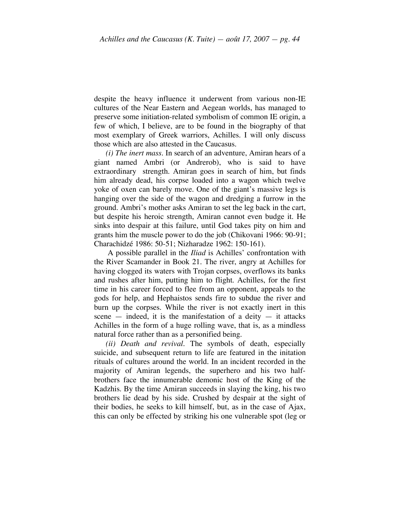despite the heavy influence it underwent from various non-IE cultures of the Near Eastern and Aegean worlds, has managed to preserve some initiation-related symbolism of common IE origin, a few of which, I believe, are to be found in the biography of that most exemplary of Greek warriors, Achilles. I will only discuss those which are also attested in the Caucasus.

*(i) The inert mass.* In search of an adventure, Amiran hears of a giant named Ambri (or Andrerob), who is said to have extraordinary strength. Amiran goes in search of him, but finds him already dead, his corpse loaded into a wagon which twelve yoke of oxen can barely move. One of the giant's massive legs is hanging over the side of the wagon and dredging a furrow in the ground. Ambri's mother asks Amiran to set the leg back in the cart, but despite his heroic strength, Amiran cannot even budge it. He sinks into despair at this failure, until God takes pity on him and grants him the muscle power to do the job (Chikovani 1966: 90-91; Charachidzé 1986: 50-51; Nizharadze 1962: 150-161).

A possible parallel in the *Iliad* is Achilles' confrontation with the River Scamander in Book 21. The river, angry at Achilles for having clogged its waters with Trojan corpses, overflows its banks and rushes after him, putting him to flight. Achilles, for the first time in his career forced to flee from an opponent, appeals to the gods for help, and Hephaistos sends fire to subdue the river and burn up the corpses. While the river is not exactly inert in this scene  $-$  indeed, it is the manifestation of a deity  $-$  it attacks Achilles in the form of a huge rolling wave, that is, as a mindless natural force rather than as a personified being.

*(ii) Death and revival.* The symbols of death, especially suicide, and subsequent return to life are featured in the initation rituals of cultures around the world. In an incident recorded in the majority of Amiran legends, the superhero and his two halfbrothers face the innumerable demonic host of the King of the Kadzhis. By the time Amiran succeeds in slaying the king, his two brothers lie dead by his side. Crushed by despair at the sight of their bodies, he seeks to kill himself, but, as in the case of Ajax, this can only be effected by striking his one vulnerable spot (leg or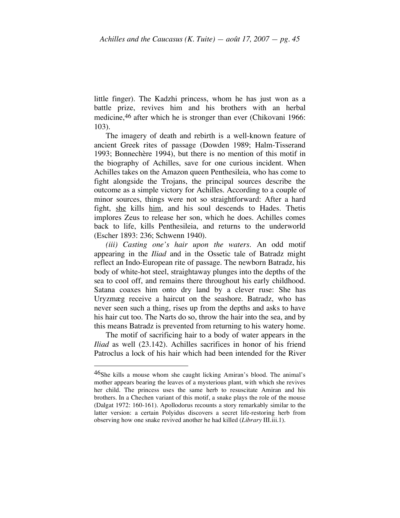little finger). The Kadzhi princess, whom he has just won as a battle prize, revives him and his brothers with an herbal medicine, 46 after which he is stronger than ever (Chikovani 1966: 103).

The imagery of death and rebirth is a well-known feature of ancient Greek rites of passage (Dowden 1989; Halm-Tisserand 1993; Bonnechère 1994), but there is no mention of this motif in the biography of Achilles, save for one curious incident. When Achilles takes on the Amazon queen Penthesileia, who has come to fight alongside the Trojans, the principal sources describe the outcome as a simple victory for Achilles. According to a couple of minor sources, things were not so straightforward: After a hard fight, she kills him, and his soul descends to Hades. Thetis implores Zeus to release her son, which he does. Achilles comes back to life, kills Penthesileia, and returns to the underworld (Escher 1893: 236; Schwenn 1940).

*(iii) Casting one's hair upon the waters.* An odd motif appearing in the *Iliad* and in the Ossetic tale of Batradz might reflect an Indo-European rite of passage. The newborn Batradz, his body of white-hot steel, straightaway plunges into the depths of the sea to cool off, and remains there throughout his early childhood. Satana coaxes him onto dry land by a clever ruse: She has Uryzmæg receive a haircut on the seashore. Batradz, who has never seen such a thing, rises up from the depths and asks to have his hair cut too. The Narts do so, throw the hair into the sea, and by this means Batradz is prevented from returning to his watery home.

The motif of sacrificing hair to a body of water appears in the *Iliad* as well (23.142). Achilles sacrifices in honor of his friend Patroclus a lock of his hair which had been intended for the River

 $46$ She kills a mouse whom she caught licking Amiran's blood. The animal's mother appears bearing the leaves of a mysterious plant, with which she revives her child. The princess uses the same herb to resuscitate Amiran and his brothers. In a Chechen variant of this motif, a snake plays the role of the mouse (Dalgat 1972: 160-161). Apollodorus recounts a story remarkably similar to the latter version: a certain Polyidus discovers a secret life-restoring herb from observing how one snake revived another he had killed (*Library* III.iii.1).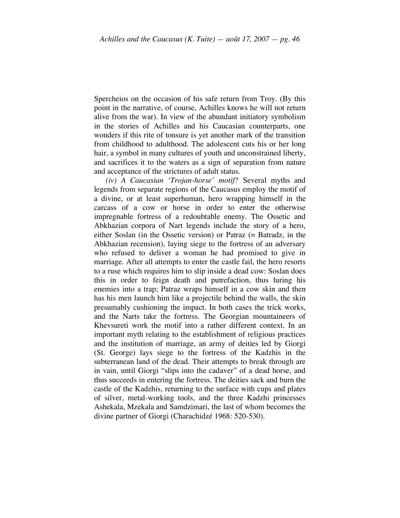Spercheios on the occasion of his safe return from Troy. (By this point in the narrative, of course, Achilles knows he will not return alive from the war). In view of the abundant initiatory symbolism in the stories of Achilles and his Caucasian counterparts, one wonders if this rite of tonsure is yet another mark of the transition from childhood to adulthood. The adolescent cuts his or her long hair, a symbol in many cultures of youth and unconstrained liberty, and sacrifices it to the waters as a sign of separation from nature and acceptance of the strictures of adult status.

*(iv) A Caucasian 'Trojan-horse' motif?* Several myths and legends from separate regions of the Caucasus employ the motif of a divine, or at least superhuman, hero wrapping himself in the carcass of a cow or horse in order to enter the otherwise impregnable fortress of a redoubtable enemy. The Ossetic and Abkhazian corpora of Nart legends include the story of a hero, either Soslan (in the Ossetic version) or Patraz (= Batradz, in the Abkhazian recension), laying siege to the fortress of an adversary who refused to deliver a woman he had promised to give in marriage. After all attempts to enter the castle fail, the hero resorts to a ruse which requires him to slip inside a dead cow: Soslan does this in order to feign death and putrefaction, thus luring his enemies into a trap; Patraz wraps himself in a cow skin and then has his men launch him like a projectile behind the walls, the skin presumably cushioning the impact. In both cases the trick works, and the Narts take the fortress. The Georgian mountaineers of Khevsureti work the motif into a rather different context. In an important myth relating to the establishment of religious practices and the institution of marriage, an army of deities led by Giorgi (St. George) lays siege to the fortress of the Kadzhis in the subterranean land of the dead. Their attempts to break through are in vain, until Giorgi "slips into the cadaver" of a dead horse, and thus succeeds in entering the fortress. The deities sack and burn the castle of the Kadzhis, returning to the surface with cups and plates of silver, metal-working tools, and the three Kadzhi princesses Ashekala, Mzekala and Samdzimari, the last of whom becomes the divine partner of Giorgi (Charachidzé 1968: 520-530).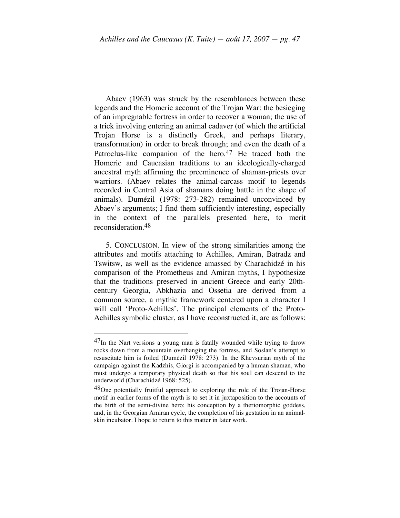Abaev (1963) was struck by the resemblances between these legends and the Homeric account of the Trojan War: the besieging of an impregnable fortress in order to recover a woman; the use of a trick involving entering an animal cadaver (of which the artificial Trojan Horse is a distinctly Greek, and perhaps literary, transformation) in order to break through; and even the death of a Patroclus-like companion of the hero.<sup>47</sup> He traced both the Homeric and Caucasian traditions to an ideologically-charged ancestral myth affirming the preeminence of shaman-priests over warriors. (Abaev relates the animal-carcass motif to legends recorded in Central Asia of shamans doing battle in the shape of animals). Dumézil (1978: 273-282) remained unconvinced by Abaev's arguments; I find them sufficiently interesting, especially in the context of the parallels presented here, to merit reconsideration.48

5. CONCLUSION. In view of the strong similarities among the attributes and motifs attaching to Achilles, Amiran, Batradz and Tswitsw, as well as the evidence amassed by Charachidzé in his comparison of the Prometheus and Amiran myths, I hypothesize that the traditions preserved in ancient Greece and early 20thcentury Georgia, Abkhazia and Ossetia are derived from a common source, a mythic framework centered upon a character I will call 'Proto-Achilles'. The principal elements of the Proto-Achilles symbolic cluster, as I have reconstructed it, are as follows:

 $47<sub>In</sub>$  the Nart versions a young man is fatally wounded while trying to throw rocks down from a mountain overhanging the fortress, and Soslan's attempt to resuscitate him is foiled (Dumézil 1978: 273). In the Khevsurian myth of the campaign against the Kadzhis, Giorgi is accompanied by a human shaman, who must undergo a temporary physical death so that his soul can descend to the underworld (Charachidzé 1968: 525).

<sup>&</sup>lt;sup>48</sup>One potentially fruitful approach to exploring the role of the Trojan-Horse motif in earlier forms of the myth is to set it in juxtaposition to the accounts of the birth of the semi-divine hero: his conception by a theriomorphic goddess, and, in the Georgian Amiran cycle, the completion of his gestation in an animalskin incubator. I hope to return to this matter in later work.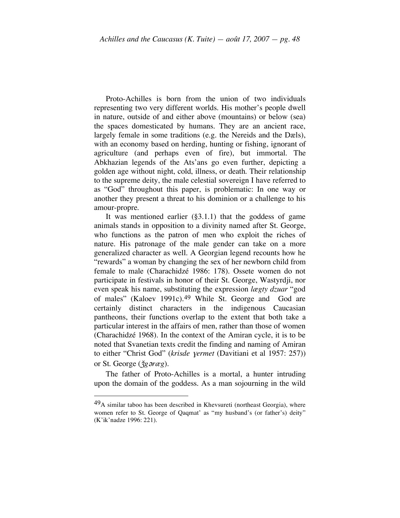Proto-Achilles is born from the union of two individuals representing two very different worlds. His mother's people dwell in nature, outside of and either above (mountains) or below (sea) the spaces domesticated by humans. They are an ancient race, largely female in some traditions (e.g. the Nereids and the Dæls), with an economy based on herding, hunting or fishing, ignorant of agriculture (and perhaps even of fire), but immortal. The Abkhazian legends of the Ats'ans go even further, depicting a golden age without night, cold, illness, or death. Their relationship to the supreme deity, the male celestial sovereign I have referred to as "God" throughout this paper, is problematic: In one way or another they present a threat to his dominion or a challenge to his amour-propre.

It was mentioned earlier  $(\S 3.1.1)$  that the goddess of game animals stands in opposition to a divinity named after St. George, who functions as the patron of men who exploit the riches of nature. His patronage of the male gender can take on a more generalized character as well. A Georgian legend recounts how he "rewards" a woman by changing the sex of her newborn child from female to male (Charachidzé 1986: 178). Ossete women do not participate in festivals in honor of their St. George, Wastyrdji, nor even speak his name, substituting the expression *lægty dzuar* "god of males" (Kaloev 1991c).49 While St. George and God are certainly distinct characters in the indigenous Caucasian pantheons, their functions overlap to the extent that both take a particular interest in the affairs of men, rather than those of women (Charachidzé 1968). In the context of the Amiran cycle, it is to be noted that Svanetian texts credit the finding and naming of Amiran to either "Christ God" (*krisde yermet* (Davitiani et al 1957: 257)) or St. George ( $\check{\zeta}$ *g* $\check{\sigma}$ *ræg*).

The father of Proto-Achilles is a mortal, a hunter intruding upon the domain of the goddess. As a man sojourning in the wild

 $49A$  similar taboo has been described in Khevsureti (northeast Georgia), where women refer to St. George of Qaqmat' as "my husband's (or father's) deity" (K'ik'nadze 1996: 221).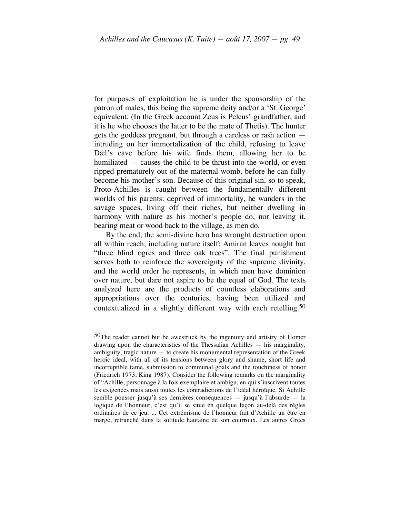for purposes of exploitation he is under the sponsorship of the patron of males, this being the supreme deity and/or a 'St. George' equivalent. (In the Greek account Zeus is Peleus' grandfather, and it is he who chooses the latter to be the mate of Thetis). The hunter gets the goddess pregnant, but through a careless or rash action intruding on her immortalization of the child, refusing to leave Dæl's cave before his wife finds them, allowing her to be humiliated — causes the child to be thrust into the world, or even ripped prematurely out of the maternal womb, before he can fully become his mother's son. Because of this original sin, so to speak, Proto-Achilles is caught between the fundamentally different worlds of his parents: deprived of immortality, he wanders in the savage spaces, living off their riches, but neither dwelling in harmony with nature as his mother's people do, nor leaving it, bearing meat or wood back to the village, as men do.

By the end, the semi-divine hero has wrought destruction upon all within reach, including nature itself; Amiran leaves nought but "three blind ogres and three oak trees". The final punishment serves both to reinforce the sovereignty of the supreme divinity, and the world order he represents, in which men have dominion over nature, but dare not aspire to be the equal of God. The texts analyzed here are the products of countless elaborations and appropriations over the centuries, having been utilized and contextualized in a slightly different way with each retelling.<sup>50</sup>

 $50$ The reader cannot but be awestruck by the ingenuity and artistry of Homer drawing upon the characteristics of the Thessalian Achilles — his marginality, ambiguity, tragic nature — to create his monumental representation of the Greek heroic ideal, with all of its tensions between glory and shame, short life and incorruptible fame, submission to communal goals and the touchiness of honor (Friedrich 1973; King 1987). Consider the following remarks on the marginality of "Achille, personnage à la fois exemplaire et ambigu, en qui s'inscrivent toutes les exigences mais aussi toutes les contradictions de l'idéal héroïque. Si Achille semble pousser jusqu'à ses dernières conséquences — jusqu'à l'absurde — la logique de l'honneur, c'est qu'il se situe en quelque façon au-delà des règles ordinaires de ce jeu. ... Cet extrémisme de l'honneur fait d'Achille un être en marge, retranché dans la solitude hautaine de son courroux. Les autres Grecs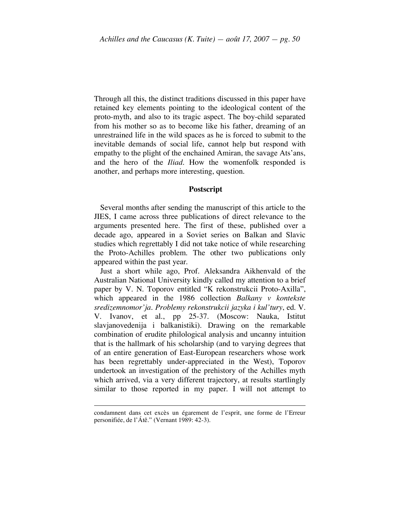Through all this, the distinct traditions discussed in this paper have retained key elements pointing to the ideological content of the proto-myth, and also to its tragic aspect. The boy-child separated from his mother so as to become like his father, dreaming of an unrestrained life in the wild spaces as he is forced to submit to the inevitable demands of social life, cannot help but respond with empathy to the plight of the enchained Amiran, the savage Ats'ans, and the hero of the *Iliad.* How the womenfolk responded is another, and perhaps more interesting, question.

#### **Postscript**

Several months after sending the manuscript of this article to the JIES, I came across three publications of direct relevance to the arguments presented here. The first of these, published over a decade ago, appeared in a Soviet series on Balkan and Slavic studies which regrettably I did not take notice of while researching the Proto-Achilles problem. The other two publications only appeared within the past year.

Just a short while ago, Prof. Aleksandra Aikhenvald of the Australian National University kindly called my attention to a brief paper by V. N. Toporov entitled "K rekonstrukcii Proto-Axilla", which appeared in the 1986 collection *Balkany v kontekste sredizemnomor'ja. Problemy rekonstrukcii jazyka i kul'tury*, ed. V. V. Ivanov, et al., pp 25-37. (Moscow: Nauka, Istitut slavjanovedenija i balkanistiki). Drawing on the remarkable combination of erudite philological analysis and uncanny intuition that is the hallmark of his scholarship (and to varying degrees that of an entire generation of East-European researchers whose work has been regrettably under-appreciated in the West), Toporov undertook an investigation of the prehistory of the Achilles myth which arrived, via a very different trajectory, at results startlingly similar to those reported in my paper. I will not attempt to

condamnent dans cet excès un égarement de l'esprit, une forme de l'Erreur personifiée, de l'Átê." (Vernant 1989: 42-3).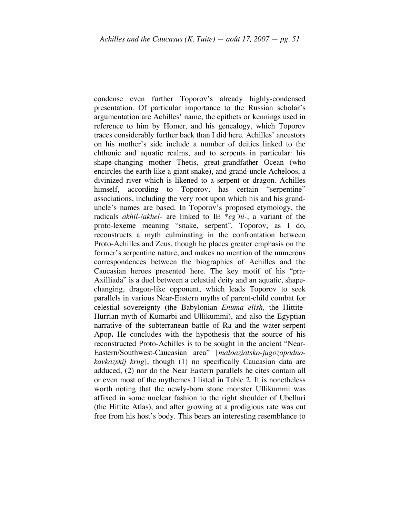condense even further Toporov's already highly-condensed presentation. Of particular importance to the Russian scholar's argumentation are Achilles' name, the epithets or kennings used in reference to him by Homer, and his genealogy, which Toporov traces considerably further back than I did here. Achilles' ancestors on his mother's side include a number of deities linked to the chthonic and aquatic realms, and to serpents in particular: his shape-changing mother Thetis, great-grandfather Ocean (who encircles the earth like a giant snake), and grand-uncle Acheloos, a divinized river which is likened to a serpent or dragon. Achilles himself, according to Toporov, has certain "serpentine" associations, including the very root upon which his and his granduncle's names are based. In Toporov's proposed etymology, the radicals *akhil-/akhel-* are linked to IE \**eg´hi-*, a variant of the proto-lexeme meaning "snake, serpent". Toporov, as I do, reconstructs a myth culminating in the confrontation between Proto-Achilles and Zeus, though he places greater emphasis on the former's serpentine nature, and makes no mention of the numerous correspondences between the biographies of Achilles and the Caucasian heroes presented here. The key motif of his "pra-Axilliada" is a duel between a celestial deity and an aquatic, shapechanging, dragon-like opponent, which leads Toporov to seek parallels in various Near-Eastern myths of parent-child combat for celestial sovereignty (the Babylonian *Enuma elish,* the Hittite-Hurrian myth of Kumarbi and Ullikummi), and also the Egyptian narrative of the subterranean battle of Ra and the water-serpent Apop**.** He concludes with the hypothesis that the source of his reconstructed Proto-Achilles is to be sought in the ancient "Near-Eastern/Southwest-Caucasian area" [*maloaziatsko-jugozapadnokavkazskij krug*], though (1) no specifically Caucasian data are adduced, (2) nor do the Near Eastern parallels he cites contain all or even most of the mythemes I listed in Table 2. It is nonetheless worth noting that the newly-born stone monster Ullikummi was affixed in some unclear fashion to the right shoulder of Ubelluri (the Hittite Atlas), and after growing at a prodigious rate was cut free from his host's body. This bears an interesting resemblance to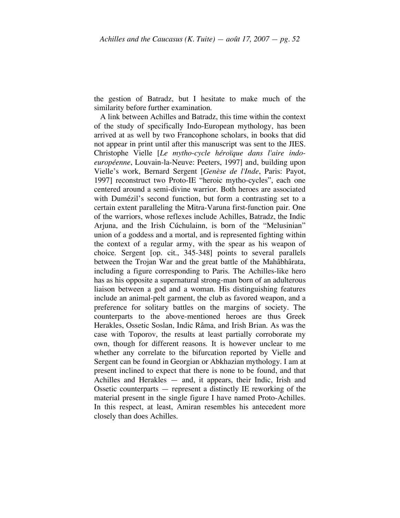the gestion of Batradz, but I hesitate to make much of the similarity before further examination.

A link between Achilles and Batradz, this time within the context of the study of specifically Indo-European mythology, has been arrived at as well by two Francophone scholars, in books that did not appear in print until after this manuscript was sent to the JIES. Christophe Vielle [*Le mytho-cycle héroïque dans l'aire indoeuropéenne*, Louvain-la-Neuve: Peeters, 1997] and, building upon Vielle's work, Bernard Sergent [*Genèse de l'Inde*, Paris: Payot, 1997] reconstruct two Proto-IE "heroic mytho-cycles", each one centered around a semi-divine warrior. Both heroes are associated with Dumézil's second function, but form a contrasting set to a certain extent paralleling the Mitra-Varuna first-function pair. One of the warriors, whose reflexes include Achilles, Batradz, the Indic Arjuna, and the Irish Cúchulainn, is born of the "Melusinian" union of a goddess and a mortal, and is represented fighting within the context of a regular army, with the spear as his weapon of choice. Sergent [op. cit., 345-348] points to several parallels between the Trojan War and the great battle of the Mahâbhârata, including a figure corresponding to Paris. The Achilles-like hero has as his opposite a supernatural strong-man born of an adulterous liaison between a god and a woman. His distinguishing features include an animal-pelt garment, the club as favored weapon, and a preference for solitary battles on the margins of society. The counterparts to the above-mentioned heroes are thus Greek Herakles, Ossetic Soslan, Indic Râma, and Irish Brian. As was the case with Toporov, the results at least partially corroborate my own, though for different reasons. It is however unclear to me whether any correlate to the bifurcation reported by Vielle and Sergent can be found in Georgian or Abkhazian mythology. I am at present inclined to expect that there is none to be found, and that Achilles and Herakles — and, it appears, their Indic, Irish and Ossetic counterparts — represent a distinctly IE reworking of the material present in the single figure I have named Proto-Achilles. In this respect, at least, Amiran resembles his antecedent more closely than does Achilles.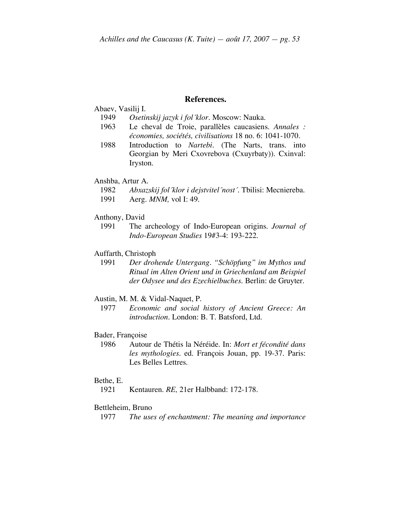# **References.**

# Abaev, Vasilij I.

- 1949 *Osetinskij jazyk i fol´klor.* Moscow: Nauka.
- 1963 Le cheval de Troie, parallèles caucasiens. *Annales : économies, sociétés, civilisations* 18 no. 6: 1041-1070.
- 1988 Introduction to *Nartebi.* (The Narts, trans. into Georgian by Meri Cxovrebova (Cxuyrbaty)). Cxinval: Iryston.
- Anshba, Artur A.
	- 1982 *Abxazskij fol´klor i dejstvitel´nost´.* Tbilisi: Mecniereba.
	- 1991 Aerg. *MNM,* vol I: 49.
- Anthony, David
	- 1991 The archeology of Indo-European origins. *Journal of Indo-European Studies* 19#3-4: 193-222.
- Auffarth, Christoph
	- 1991 *Der drohende Untergang. "Schöpfung" im Mythos und Ritual im Alten Orient und in Griechenland am Beispiel der Odysee und des Ezechielbuches.* Berlin: de Gruyter.
- Austin, M. M. & Vidal-Naquet, P.
- 1977 *Economic and social history of Ancient Greece: An introduction.* London: B. T. Batsford, Ltd.
- Bader, Françoise
	- 1986 Autour de Thétis la Néréide. In: *Mort et fécondité dans les mythologies.* ed. François Jouan, pp. 19-37. Paris: Les Belles Lettres.

#### Bethe, E.

1921 Kentauren. *RE,* 21er Halbband: 172-178.

## Bettleheim, Bruno

1977 *The uses of enchantment: The meaning and importance*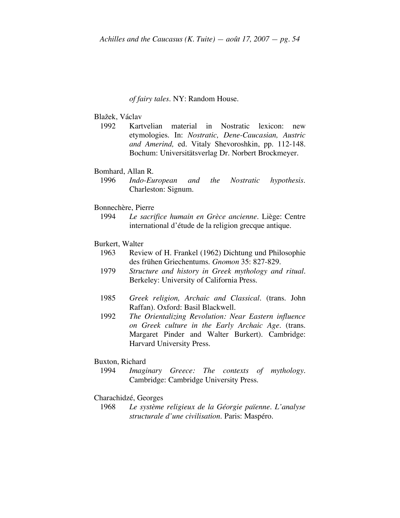#### *of fairy tales.* NY: Random House.

# Blažek, Václav

1992 Kartvelian material in Nostratic lexicon: new etymologies. In: *Nostratic, Dene-Caucasian, Austric and Amerind,* ed. Vitaly Shevoroshkin, pp. 112-148. Bochum: Universitätsverlag Dr. Norbert Brockmeyer.

### Bomhard, Allan R.

1996 *Indo-European and the Nostratic hypothesis.* Charleston: Signum.

#### Bonnechère, Pierre

1994 *Le sacrifice humain en Grèce ancienne.* Liège: Centre international d'étude de la religion grecque antique.

#### Burkert, Walter

- 1963 Review of H. Frankel (1962) Dichtung und Philosophie des frühen Griechentums. *Gnomon* 35: 827-829.
- 1979 *Structure and history in Greek mythology and ritual.* Berkeley: University of California Press.
- 1985 *Greek religion, Archaic and Classical.* (trans. John Raffan). Oxford: Basil Blackwell.
- 1992 *The Orientalizing Revolution: Near Eastern influence on Greek culture in the Early Archaic Age.* (trans. Margaret Pinder and Walter Burkert). Cambridge: Harvard University Press.

# Buxton, Richard

1994 *Imaginary Greece: The contexts of mythology.* Cambridge: Cambridge University Press.

### Charachidzé, Georges

1968 *Le système religieux de la Géorgie païenne. L'analyse structurale d'une civilisation.* Paris: Maspéro.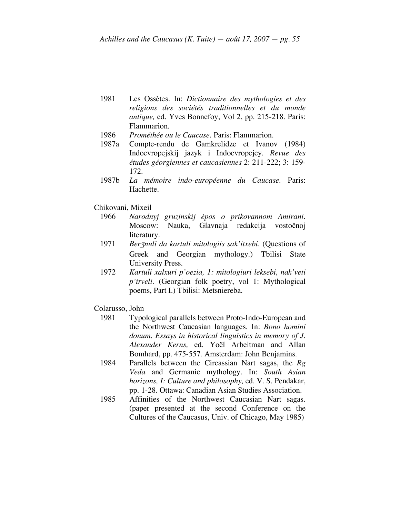- 1981 Les Ossètes. In: *Dictionnaire des mythologies et des religions des sociétés traditionnelles et du monde antique,* ed. Yves Bonnefoy, Vol 2, pp. 215-218. Paris: Flammarion.
- 1986 *Prométhée ou le Caucase.* Paris: Flammarion.
- 1987a Compte-rendu de Gamkrelidze et Ivanov (1984) Indoevropejskij jazyk i Indoevropejcy. *Revue des études géorgiennes et caucasiennes* 2: 211-222; 3: 159- 172.
- 1987b *La mémoire indo-européenne du Caucase.* Paris: Hachette.
- Chikovani, Mixeil
	- 1966 *Narodnyj gruzinskij èpos o prikovannom Amirani.* Moscow: Nauka, Glavnaja redakcija vostočnoj literatury.
	- 1971 *Ber*Z*nuli da kartuli mitologiis sak'itxebi.* (Questions of Greek and Georgian mythology.) Tbilisi State University Press.
	- 1972 *Kartuli xalxuri p'oezia, 1: mitologiuri leksebi, nak'veti p'irveli.* (Georgian folk poetry, vol 1: Mythological poems, Part I.) Tbilisi: Metsniereba.
- Colarusso, John
	- 1981 Typological parallels between Proto-Indo-European and the Northwest Caucasian languages. In: *Bono homini donum. Essays in historical linguistics in memory of J. Alexander Kerns,* ed. Yoël Arbeitman and Allan Bomhard, pp. 475-557. Amsterdam: John Benjamins.
	- 1984 Parallels between the Circassian Nart sagas, the *Rg Veda* and Germanic mythology. In: *South Asian horizons, I: Culture and philosophy,* ed. V. S. Pendakar, pp. 1-28. Ottawa: Canadian Asian Studies Association.
	- 1985 Affinities of the Northwest Caucasian Nart sagas. (paper presented at the second Conference on the Cultures of the Caucasus, Univ. of Chicago, May 1985)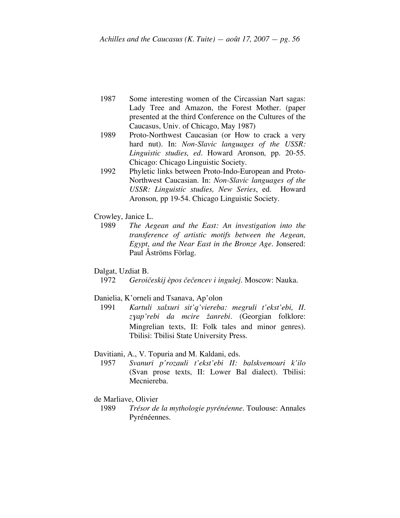- 1987 Some interesting women of the Circassian Nart sagas: Lady Tree and Amazon, the Forest Mother. (paper presented at the third Conference on the Cultures of the Caucasus, Univ. of Chicago, May 1987)
- 1989 Proto-Northwest Caucasian (or How to crack a very hard nut). In: *Non-Slavic languages of the USSR: Linguistic studies, ed.* Howard Aronson*,* pp. 20-55. Chicago: Chicago Linguistic Society.
- 1992 Phyletic links between Proto-Indo-European and Proto-Northwest Caucasian. In: *Non-Slavic languages of the USSR: Linguistic studies, New Series*, ed. Howard Aronson*,* pp 19-54. Chicago Linguistic Society.
- Crowley, Janice L.
	- 1989 *The Aegean and the East: An investigation into the transference of artistic motifs between the Aegean, Egypt, and the Near East in the Bronze Age.* Jonsered: Paul Åströms Förlag.
- Dalgat, Uzdiat B.
	- 1972 *Geroičeskij èpos čečencev i ingušej.* Moscow: Nauka.

# Danielia, K'orneli and Tsanava, Ap'olon

1991 *Kartuli xalxuri sit'q'viereba: megruli t'ekst'ebi, II. z*ƒ*ap'rebi da mcire žanrebi.* (Georgian folklore: Mingrelian texts, II: Folk tales and minor genres). Tbilisi: Tbilisi State University Press.

#### Davitiani, A., V. Topuria and M. Kaldani, eds.

- 1957 *Svanuri p'rozauli t'ekst'ebi II: balskvemouri k'ilo*  (Svan prose texts, II: Lower Bal dialect). Tbilisi: Mecniereba.
- de Marliave, Olivier
	- 1989 *Trésor de la mythologie pyrénéenne.* Toulouse: Annales Pyrénéennes.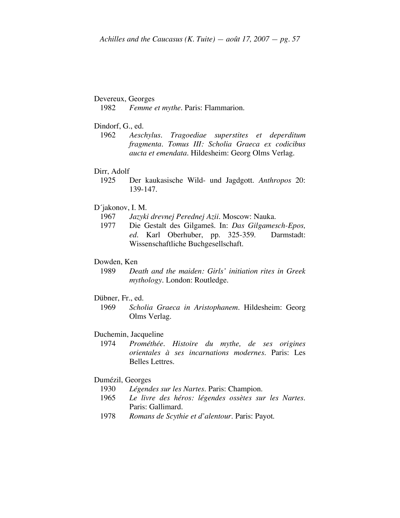## Devereux, Georges

1982 *Femme et mythe.* Paris: Flammarion.

- Dindorf, G., ed.
	- 1962 *Aeschylus. Tragoediae superstites et deperditum fragmenta. Tomus III: Scholia Graeca ex codicibus aucta et emendata.* Hildesheim: Georg Olms Verlag.

#### Dirr, Adolf

- 1925 Der kaukasische Wild- und Jagdgott. *Anthropos* 20: 139-147.
- D´jakonov, I. M.
	- 1967 *Jazyki drevnej Perednej Azii.* Moscow: Nauka.
	- 1977 Die Gestalt des Gilgameš. In: *Das Gilgamesch-Epos, ed.* Karl Oberhuber, pp. 325-359. Darmstadt: Wissenschaftliche Buchgesellschaft.

#### Dowden, Ken

1989 *Death and the maiden: Girls' initiation rites in Greek mythology.* London: Routledge.

#### Dübner, Fr., ed.

1969 *Scholia Graeca in Aristophanem.* Hildesheim: Georg Olms Verlag.

## Duchemin, Jacqueline

1974 *Prométhée. Histoire du mythe, de ses origines orientales à ses incarnations modernes.* Paris: Les Belles Lettres.

# Dumézil, Georges

- 1930 *Légendes sur les Nartes.* Paris: Champion.
- 1965 *Le livre des héros: légendes ossètes sur les Nartes.* Paris: Gallimard.
- 1978 *Romans de Scythie et d'alentour.* Paris: Payot.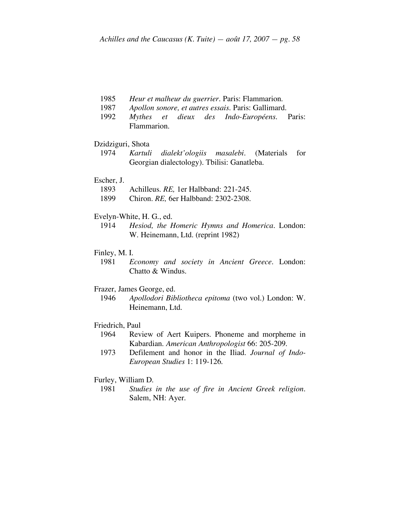- 1985 *Heur et malheur du guerrier.* Paris: Flammarion.
- 1987 *Apollon sonore, et autres essais.* Paris: Gallimard.
- 1992 *Mythes et dieux des Indo-Européens.* Paris: Flammarion.

# Dzidziguri, Shota<br>1974 *Kartuli*

1974 *Kartuli dialekt'ologiis masalebi.* (Materials for Georgian dialectology). Tbilisi: Ganatleba.

#### Escher, J.

- 1893 Achilleus. *RE,* 1er Halbband: 221-245.
- 1899 Chiron. *RE,* 6er Halbband: 2302-2308.

#### Evelyn-White, H. G., ed.

1914 *Hesiod, the Homeric Hymns and Homerica.* London: W. Heinemann, Ltd. (reprint 1982)

## Finley, M. I.

1981 *Economy and society in Ancient Greece.* London: Chatto & Windus.

# Frazer, James George, ed.

1946 *Apollodori Bibliotheca epitoma* (two vol.) London: W. Heinemann, Ltd.

## Friedrich, Paul

- 1964 Review of Aert Kuipers. Phoneme and morpheme in Kabardian. *American Anthropologist* 66: 205-209.
- 1973 Defilement and honor in the Iliad. *Journal of Indo-European Studies* 1: 119-126.

# Furley, William D.

1981 *Studies in the use of fire in Ancient Greek religion.* Salem, NH: Ayer.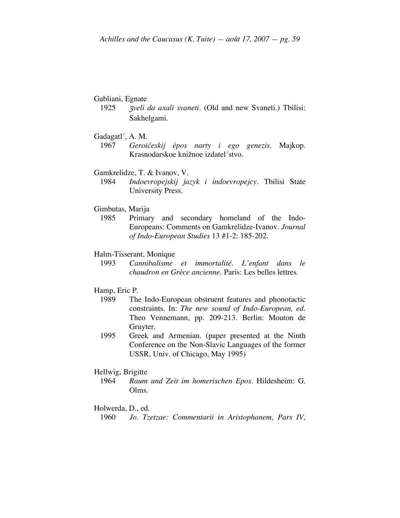#### Gabliani, Egnate

- 1925 <sup>Z</sup>*veli da axali svaneti.* (Old and new Svaneti.) Tbilisi: Sakhelgami.
- Gadagatl´, A. M.
	- 1967 *Geroičeskij èpos narty i ego genezis.* Majkop. Krasnodarskoe knižnoe izdatel´stvo.
- Gamkrelidze, T. & Ivanov, V.
	- 1984 *Indoevropejskij jazyk i indoevropejcy.* Tbilisi State University Press.
- Gimbutas, Marija
	- 1985 Primary and secondary homeland of the Indo-Europeans: Comments on Gamkrelidze-Ivanov. *Journal of Indo-European Studies* 13 #1-2: 185-202.

#### Halm-Tisserant, Monique

1993 *Cannibalisme et immortalité. L'enfant dans le chaudron en Grèce ancienne.* Paris: Les belles lettres.

#### Hamp, Eric P.

- 1989 The Indo-European obstruent features and phonotactic constraints. In: *The new sound of Indo-European, ed.* Theo Vennemann, pp. 209-213. Berlin: Mouton de Gruyter.
- 1995 Greek and Armenian. (paper presented at the Ninth Conference on the Non-Slavic Languages of the former USSR, Univ. of Chicago, May 1995)

#### Hellwig, Brigitte

1964 *Raum und Zeit im homerischen Epos.* Hildesheim: G. Olms.

## Holwerda, D., ed.

<sup>1960</sup> *Jo. Tzetzae: Commentarii in Aristophanem, Pars IV,*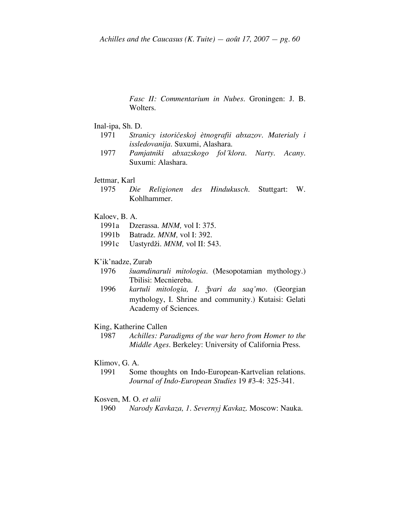*Fasc II: Commentarium in Nubes.* Groningen: J. B. Wolters.

Inal-ipa, Sh. D.

- 1971 *Stranicy istoričeskoj ètnografii abxazov. Materialy i issledovanija.* Suxumi, Alashara.
- 1977 *Pamjatniki abxazskogo fol´klora. Narty. Acany.* Suxumi: Alashara.
- Jettmar, Karl
	- 1975 *Die Religionen des Hindukusch.* Stuttgart: W. Kohlhammer.
- Kaloev, B. A.
	- 1991a Dzerassa. *MNM,* vol I: 375.
	- 1991b Batradz. *MNM,* vol I: 392.
	- 1991c Uastyrdži. *MNM,* vol II: 543.

#### K'ik'nadze, Zurab

- 1976 *šuamdinaruli mitologia.* (Mesopotamian mythology.) Tbilisi: Mecniereba.
- 1996 *kartuli mitologia, I. žvari da saq'mo.* (Georgian mythology, I. Shrine and community.) Kutaisi: Gelati Academy of Sciences.

#### King, Katherine Callen

1987 *Achilles: Paradigms of the war hero from Homer to the Middle Ages.* Berkeley: University of California Press.

#### Klimov, G. A.

1991 Some thoughts on Indo-European-Kartvelian relations. *Journal of Indo-European Studies* 19 #3-4: 325-341.

#### Kosven, M. O. *et alii*

1960 *Narody Kavkaza, 1. Severnyj Kavkaz.* Moscow: Nauka.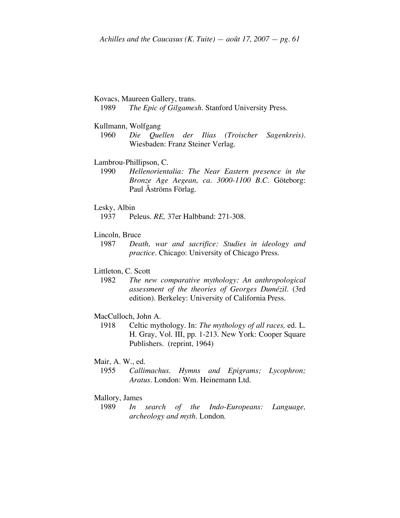# Kovacs, Maureen Gallery, trans.

1989 *The Epic of Gilgamesh.* Stanford University Press.

#### Kullmann, Wolfgang

1960 *Die Quellen der Ilias (Troischer Sagenkreis).* Wiesbaden: Franz Steiner Verlag.

#### Lambrou-Phillipson, C.

1990 *Hellenorientalia: The Near Eastern presence in the Bronze Age Aegean, ca. 3000-1100 B.C.* Göteborg: Paul Åströms Förlag.

#### Lesky, Albin

1937 Peleus. *RE,* 37er Halbband: 271-308.

#### Lincoln, Bruce

1987 *Death, war and sacrifice: Studies in ideology and practice.* Chicago: University of Chicago Press.

# Littleton, C. Scott

1982 *The new comparative mythology: An anthropological assessment of the theories of Georges Dumézil.* (3rd edition). Berkeley: University of California Press.

#### MacCulloch, John A.

1918 Celtic mythology. In: *The mythology of all races,* ed. L. H. Gray, Vol. III, pp. 1-213. New York: Cooper Square Publishers. (reprint, 1964)

# Mair, A. W., ed.

1955 *Callimachus. Hymns and Epigrams; Lycophron; Aratus.* London: Wm. Heinemann Ltd.

# Mallory, James

1989 *In search of the Indo-Europeans: Language, archeology and myth.* London.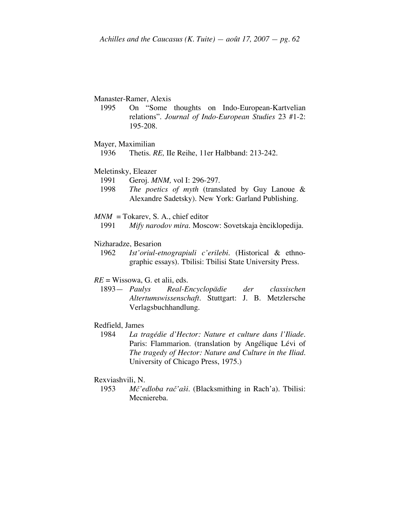# Manaster-Ramer, Alexis

- 1995 On "Some thoughts on Indo-European-Kartvelian relations". *Journal of Indo-European Studies* 23 #1-2: 195-208.
- Mayer, Maximilian
	- 1936 Thetis. *RE,* IIe Reihe, 11er Halbband: 213-242.

#### Meletinsky, Eleazer

- 1991 Geroj. *MNM,* vol I: 296-297.
- 1998 *The poetics of myth* (translated by Guy Lanoue & Alexandre Sadetsky). New York: Garland Publishing.
- $MNM = \text{Tokarev}$ , S. A., chief editor
	- 1991 *Mify narodov mira.* Moscow: Sovetskaja ènciklopedija.

#### Nizharadze, Besarion

1962 *Ist'oriul-etnograpiuli c'erilebi.* (Historical & ethnographic essays). Tbilisi: Tbilisi State University Press.

# *RE* = Wissowa, G. et alii, eds.

1893— *Paulys Real-Encyclopädie der classischen Altertumswissenschaft.* Stuttgart: J. B. Metzlersche Verlagsbuchhandlung.

## Redfield, James

1984 *La tragédie d'Hector: Nature et culture dans l'Iliade.* Paris: Flammarion. (translation by Angélique Lévi of *The tragedy of Hector: Nature and Culture in the Iliad.* University of Chicago Press, 1975.)

#### Rexviashvili, N.

1953 *Mč'edloba rač'aši.* (Blacksmithing in Rach'a). Tbilisi: Mecniereba.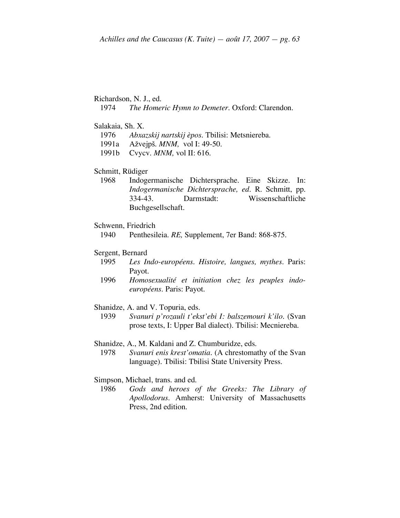# Richardson, N. J., ed.

1974 *The Homeric Hymn to Demeter.* Oxford: Clarendon.

#### Salakaia, Sh. X.

- 1976 *Abxazskij nartskij èpos.* Tbilisi: Metsniereba.
- 1991a Ažvejpš. *MNM,* vol I: 49-50.
- 1991b Cvycv. *MNM,* vol II: 616.

#### Schmitt, Rüdiger

1968 Indogermanische Dichtersprache. Eine Skizze. In: *Indogermanische Dichtersprache, ed.* R. Schmitt, pp. 334-43. Darmstadt: Wissenschaftliche Buchgesellschaft.

#### Schwenn, Friedrich

1940 Penthesileia. *RE,* Supplement, 7er Band: 868-875.

# Sergent, Bernard

- 1995 *Les Indo-européens. Histoire, langues, mythes.* Paris: Payot.
- 1996 *Homosexualité et initiation chez les peuples indoeuropéens.* Paris: Payot.
- Shanidze, A. and V. Topuria, eds.
	- 1939 *Svanuri p'rozauli t'ekst'ebi I: balszemouri k'ilo.* (Svan prose texts, I: Upper Bal dialect). Tbilisi: Mecniereba.

Shanidze, A., M. Kaldani and Z. Chumburidze, eds.

1978 *Svanuri enis krest'omatia.* (A chrestomathy of the Svan language). Tbilisi: Tbilisi State University Press.

#### Simpson, Michael, trans. and ed.

1986 *Gods and heroes of the Greeks: The Library of Apollodorus.* Amherst: University of Massachusetts Press, 2nd edition.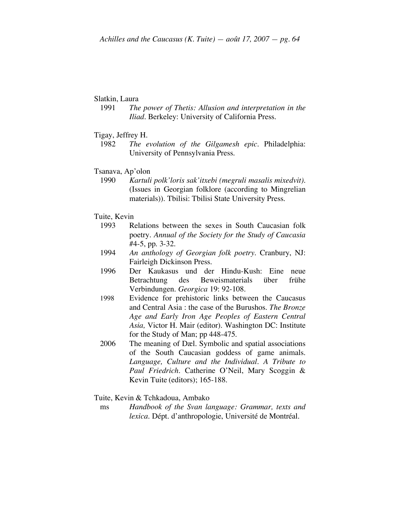# Slatkin, Laura

- 1991 *The power of Thetis: Allusion and interpretation in the Iliad.* Berkeley: University of California Press.
- Tigay, Jeffrey H.
	- 1982 *The evolution of the Gilgamesh epic.* Philadelphia: University of Pennsylvania Press.
- Tsanava, Ap'olon
	- 1990 *Kartuli polk'loris sak'itxebi (megruli masalis mixedvit).* (Issues in Georgian folklore (according to Mingrelian materials)). Tbilisi: Tbilisi State University Press.

#### Tuite, Kevin

- 1993 Relations between the sexes in South Caucasian folk poetry. *Annual of the Society for the Study of Caucasia* #4-5, pp. 3-32.
- 1994 *An anthology of Georgian folk poetry.* Cranbury, NJ: Fairleigh Dickinson Press.
- 1996 Der Kaukasus und der Hindu-Kush: Eine neue Betrachtung des Beweismaterials über frühe Verbindungen. *Georgica* 19: 92-108.
- 1998 Evidence for prehistoric links between the Caucasus and Central Asia : the case of the Burushos. *The Bronze Age and Early Iron Age Peoples of Eastern Central Asia,* Victor H. Mair (editor). Washington DC: Institute for the Study of Man; pp 448-475.
- 2006 The meaning of Dæl. Symbolic and spatial associations of the South Caucasian goddess of game animals. *Language, Culture and the Individual. A Tribute to Paul Friedrich.* Catherine O'Neil, Mary Scoggin & Kevin Tuite (editors); 165-188.
- Tuite, Kevin & Tchkadoua, Ambako
- ms *Handbook of the Svan language: Grammar, texts and lexica.* Dépt. d'anthropologie, Université de Montréal.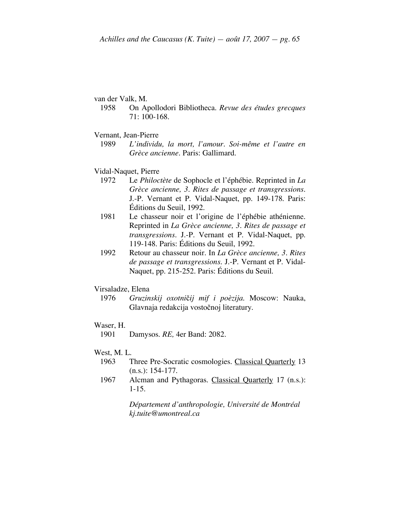#### van der Valk, M.

- 1958 On Apollodori Bibliotheca*. Revue des études grecques* 71: 100-168.
- Vernant, Jean-Pierre
	- 1989 *L'individu, la mort, l'amour. Soi-même et l'autre en Grèce ancienne.* Paris: Gallimard.
- Vidal-Naquet, Pierre
	- 1972 Le *Philoctète* de Sophocle et l'éphébie. Reprinted in *La Grèce ancienne, 3. Rites de passage et transgressions.* J.-P. Vernant et P. Vidal-Naquet, pp. 149-178. Paris: Éditions du Seuil, 1992.
	- 1981 Le chasseur noir et l'origine de l'éphébie athénienne. Reprinted in *La Grèce ancienne, 3. Rites de passage et transgressions.* J.-P. Vernant et P. Vidal-Naquet, pp. 119-148. Paris: Éditions du Seuil, 1992.
	- 1992 Retour au chasseur noir. In *La Grèce ancienne, 3. Rites de passage et transgressions.* J.-P. Vernant et P. Vidal-Naquet, pp. 215-252. Paris: Éditions du Seuil.

#### Virsaladze, Elena

1976 *Gruzinskij oxotni*č*ij mif i poèzija.* Moscow: Nauka, Glavnaja redakcija vostočnoj literatury.

# Waser, H.

1901 Damysos. *RE,* 4er Band: 2082.

#### West, M. L.

- 1963 Three Pre-Socratic cosmologies. Classical Quarterly 13 (n.s.): 154-177.
- 1967 Alcman and Pythagoras. Classical Quarterly 17 (n.s.): 1-15.

*Département d'anthropologie, Université de Montréal kj.tuite@umontreal.ca*